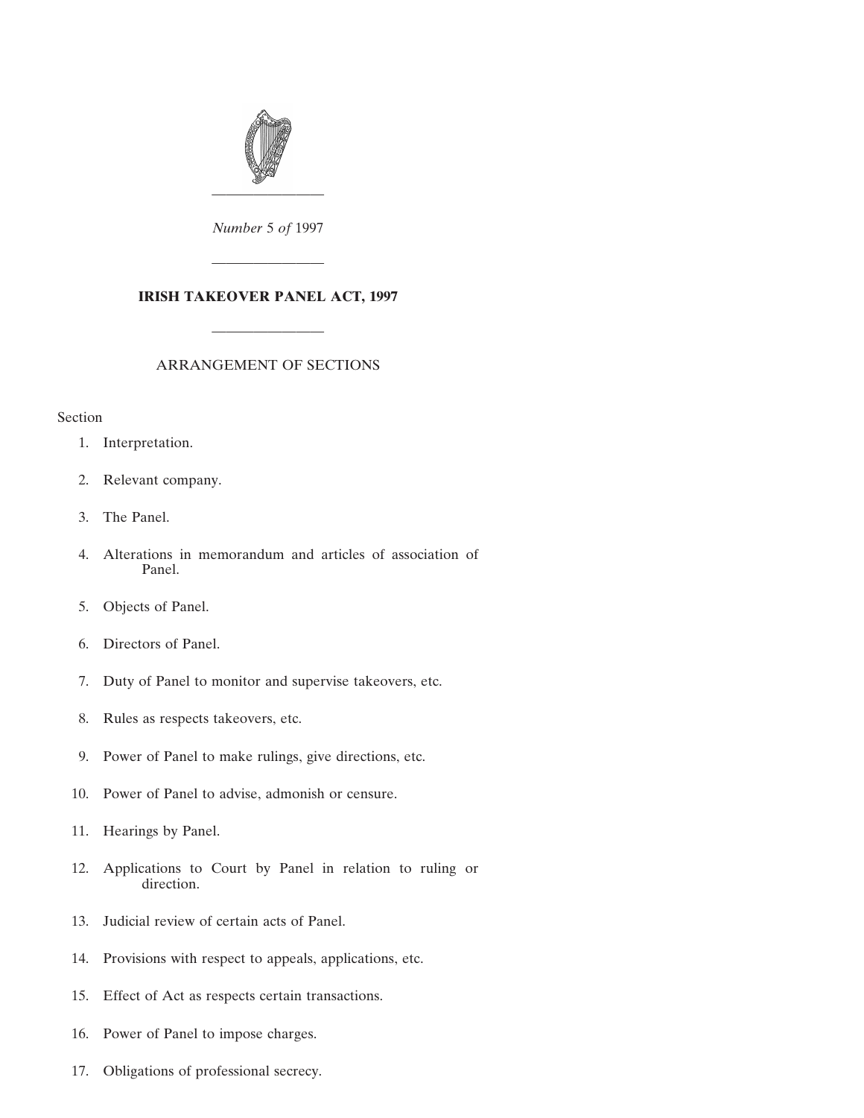

*Number* 5 *of* 1997

————————

# **IRISH TAKEOVER PANEL ACT, 1997**

# ARRANGEMENT OF SECTIONS

————————

### Section

- [1. Interpretation.](#page-2-0)
- [2. Relevant company.](#page-5-0)
- [3. The Panel.](#page-6-0)
- [4. Alterations in memorandum and articles of association of](#page-7-0) Panel.
- [5. Objects of Panel.](#page-7-0)
- [6. Directors of Panel.](#page-7-0)
- [7. Duty of Panel to monitor and supervise takeovers, etc.](#page-8-0)
- [8. Rules as respects takeovers, etc.](#page-9-0)
- [9. Power of Panel to make rulings, give directions, etc.](#page-10-0)
- [10. Power of Panel to advise, admonish or censure.](#page-12-0)
- [11. Hearings by Panel.](#page-13-0)
- [12. Applications to Court by Panel in relation to ruling or](#page-14-0) direction.
- [13. Judicial review of certain acts of Panel.](#page-15-0)
- [14. Provisions with respect to appeals, applications, etc.](#page-16-0)
- [15. Effect of Act as respects certain transactions.](#page-17-0)
- [16. Power of Panel to impose charges.](#page-17-0)
- [17. Obligations of professional secrecy.](#page-18-0)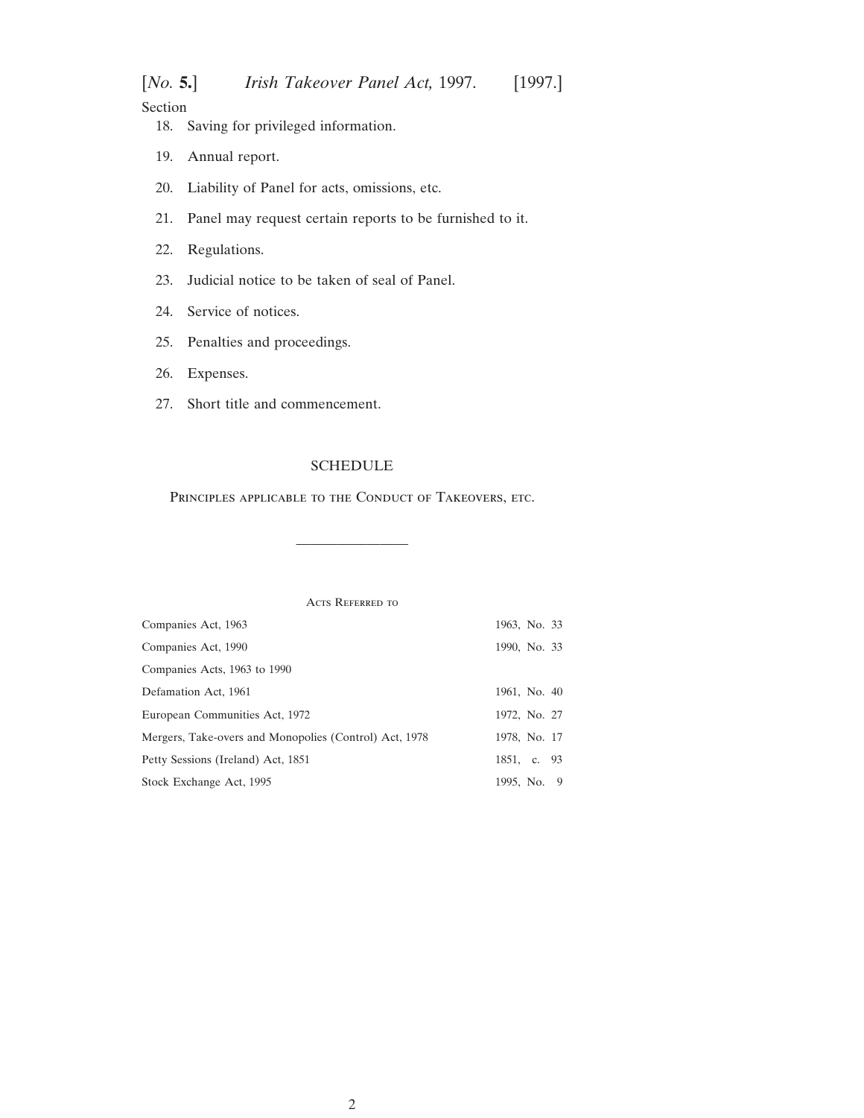Section

- [18. Saving for privileged information.](#page-19-0)
- [19. Annual report.](#page-19-0)
- [20. Liability of Panel for acts, omissions, etc.](#page-19-0)
- [21. Panel may request certain reports to be furnished to it.](#page-20-0)
- [22. Regulations.](#page-20-0)
- [23. Judicial notice to be taken of seal of Panel.](#page-21-0)
- [24. Service of notices.](#page-21-0)
- [25. Penalties and proceedings.](#page-21-0)
- [26. Expenses.](#page-22-0)
- [27. Short title and commencement.](#page-22-0)

## [SCHEDULE](#page-22-0)

Principles applicable to the Conduct of Takeovers, etc.

————————

ACTS REFERRED TO

| Companies Act, 1963                                    | 1963, No. 33 |
|--------------------------------------------------------|--------------|
| Companies Act, 1990                                    | 1990, No. 33 |
| Companies Acts, 1963 to 1990                           |              |
| Defamation Act, 1961                                   | 1961, No. 40 |
| European Communities Act, 1972                         | 1972, No. 27 |
| Mergers, Take-overs and Monopolies (Control) Act, 1978 | 1978, No. 17 |
| Petty Sessions (Ireland) Act, 1851                     | 1851, c. 93  |
| Stock Exchange Act, 1995                               | 1995, No. 9  |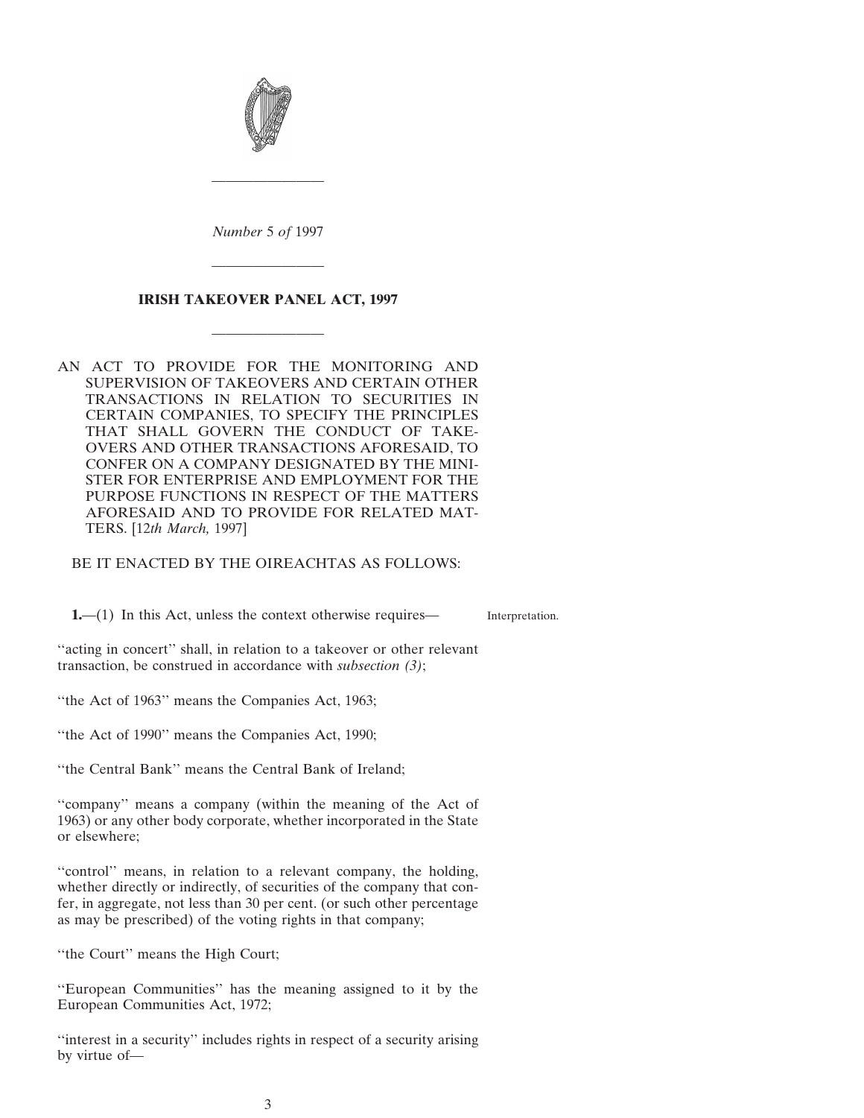<span id="page-2-0"></span>

*Number* 5 *of* 1997

————————

# **IRISH TAKEOVER PANEL ACT, 1997**

————————

————————

AN ACT TO PROVIDE FOR THE MONITORING AND SUPERVISION OF TAKEOVERS AND CERTAIN OTHER TRANSACTIONS IN RELATION TO SECURITIES IN CERTAIN COMPANIES, TO SPECIFY THE PRINCIPLES THAT SHALL GOVERN THE CONDUCT OF TAKE-OVERS AND OTHER TRANSACTIONS AFORESAID, TO CONFER ON A COMPANY DESIGNATED BY THE MINI-STER FOR ENTERPRISE AND EMPLOYMENT FOR THE PURPOSE FUNCTIONS IN RESPECT OF THE MATTERS AFORESAID AND TO PROVIDE FOR RELATED MAT-TERS. [12*th March,* 1997]

BE IT ENACTED BY THE OIREACHTAS AS FOLLOWS:

**1.**—(1) In this Act, unless the context otherwise requires—

Interpretation.

"acting in concert" shall, in relation to a takeover or other relevant transaction, be construed in accordance with *subsection (3)*;

''the Act of 1963'' means the Companies Act, 1963;

''the Act of 1990'' means the Companies Act, 1990;

''the Central Bank'' means the Central Bank of Ireland;

''company'' means a company (within the meaning of the Act of 1963) or any other body corporate, whether incorporated in the State or elsewhere;

''control'' means, in relation to a relevant company, the holding, whether directly or indirectly, of securities of the company that confer, in aggregate, not less than 30 per cent. (or such other percentage as may be prescribed) of the voting rights in that company;

''the Court'' means the High Court;

''European Communities'' has the meaning assigned to it by the European Communities Act, 1972;

''interest in a security'' includes rights in respect of a security arising by virtue of—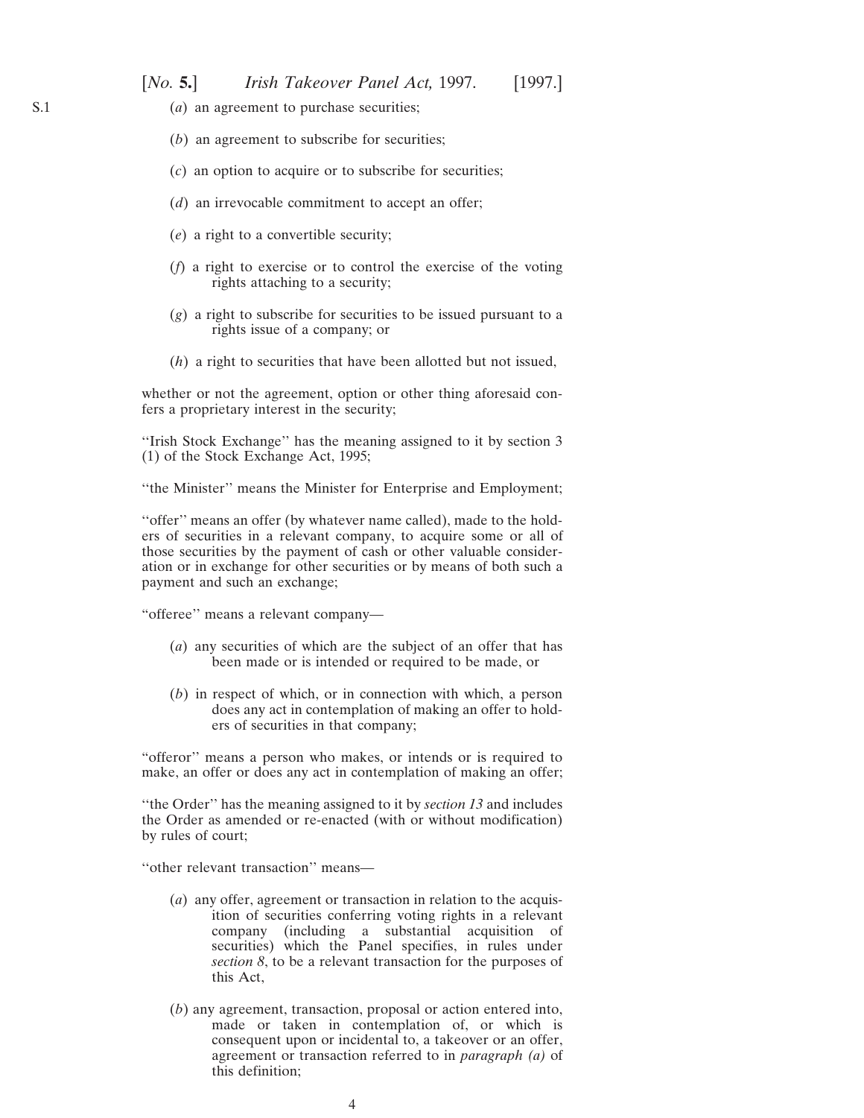- (*a*) an agreement to purchase securities;
- (*b*) an agreement to subscribe for securities;
- (*c*) an option to acquire or to subscribe for securities;
- (*d*) an irrevocable commitment to accept an offer;
- (*e*) a right to a convertible security;
- (*f*) a right to exercise or to control the exercise of the voting rights attaching to a security;
- (*g*) a right to subscribe for securities to be issued pursuant to a rights issue of a company; or
- (*h*) a right to securities that have been allotted but not issued,

whether or not the agreement, option or other thing aforesaid confers a proprietary interest in the security;

''Irish Stock Exchange'' has the meaning assigned to it by section 3 (1) of the Stock Exchange Act, 1995;

''the Minister'' means the Minister for Enterprise and Employment;

"offer" means an offer (by whatever name called), made to the holders of securities in a relevant company, to acquire some or all of those securities by the payment of cash or other valuable consideration or in exchange for other securities or by means of both such a payment and such an exchange;

"offeree'' means a relevant company—

- (*a*) any securities of which are the subject of an offer that has been made or is intended or required to be made, or
- (*b*) in respect of which, or in connection with which, a person does any act in contemplation of making an offer to holders of securities in that company;

"offeror'' means a person who makes, or intends or is required to make, an offer or does any act in contemplation of making an offer;

''the Order'' has the meaning assigned to it by *section 13* and includes the Order as amended or re-enacted (with or without modification) by rules of court;

''other relevant transaction'' means—

- (*a*) any offer, agreement or transaction in relation to the acquisition of securities conferring voting rights in a relevant company (including a substantial acquisition of securities) which the Panel specifies, in rules under *section 8*, to be a relevant transaction for the purposes of this Act,
- (*b*) any agreement, transaction, proposal or action entered into, made or taken in contemplation of, or which is consequent upon or incidental to, a takeover or an offer, agreement or transaction referred to in *paragraph (a)* of this definition;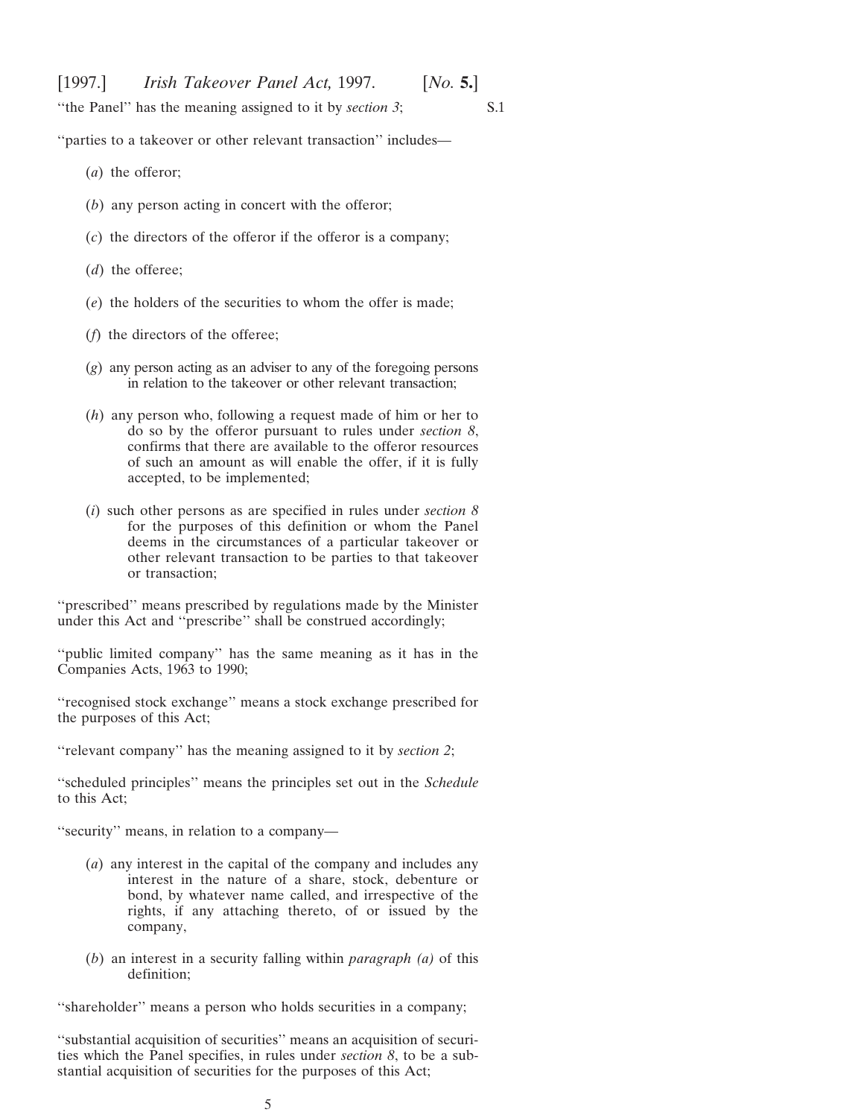''the Panel'' has the meaning assigned to it by *section 3*;

S.1

''parties to a takeover or other relevant transaction'' includes—

- (*a*) the offeror;
- (*b*) any person acting in concert with the offeror;
- (*c*) the directors of the offeror if the offeror is a company;
- (*d*) the offeree;
- (*e*) the holders of the securities to whom the offer is made;
- (*f*) the directors of the offeree;
- (*g*) any person acting as an adviser to any of the foregoing persons in relation to the takeover or other relevant transaction;
- (*h*) any person who, following a request made of him or her to do so by the offeror pursuant to rules under *section 8*, confirms that there are available to the offeror resources of such an amount as will enable the offer, if it is fully accepted, to be implemented;
- (*i*) such other persons as are specified in rules under *section 8* for the purposes of this definition or whom the Panel deems in the circumstances of a particular takeover or other relevant transaction to be parties to that takeover or transaction;

''prescribed'' means prescribed by regulations made by the Minister under this Act and ''prescribe'' shall be construed accordingly;

"public limited company" has the same meaning as it has in the Companies Acts, 1963 to 1990;

''recognised stock exchange'' means a stock exchange prescribed for the purposes of this Act;

''relevant company'' has the meaning assigned to it by *section 2*;

''scheduled principles'' means the principles set out in the *Schedule* to this Act;

''security'' means, in relation to a company—

- (*a*) any interest in the capital of the company and includes any interest in the nature of a share, stock, debenture or bond, by whatever name called, and irrespective of the rights, if any attaching thereto, of or issued by the company,
- (*b*) an interest in a security falling within *paragraph (a)* of this definition;

"shareholder" means a person who holds securities in a company;

''substantial acquisition of securities'' means an acquisition of securities which the Panel specifies, in rules under *section 8*, to be a substantial acquisition of securities for the purposes of this Act;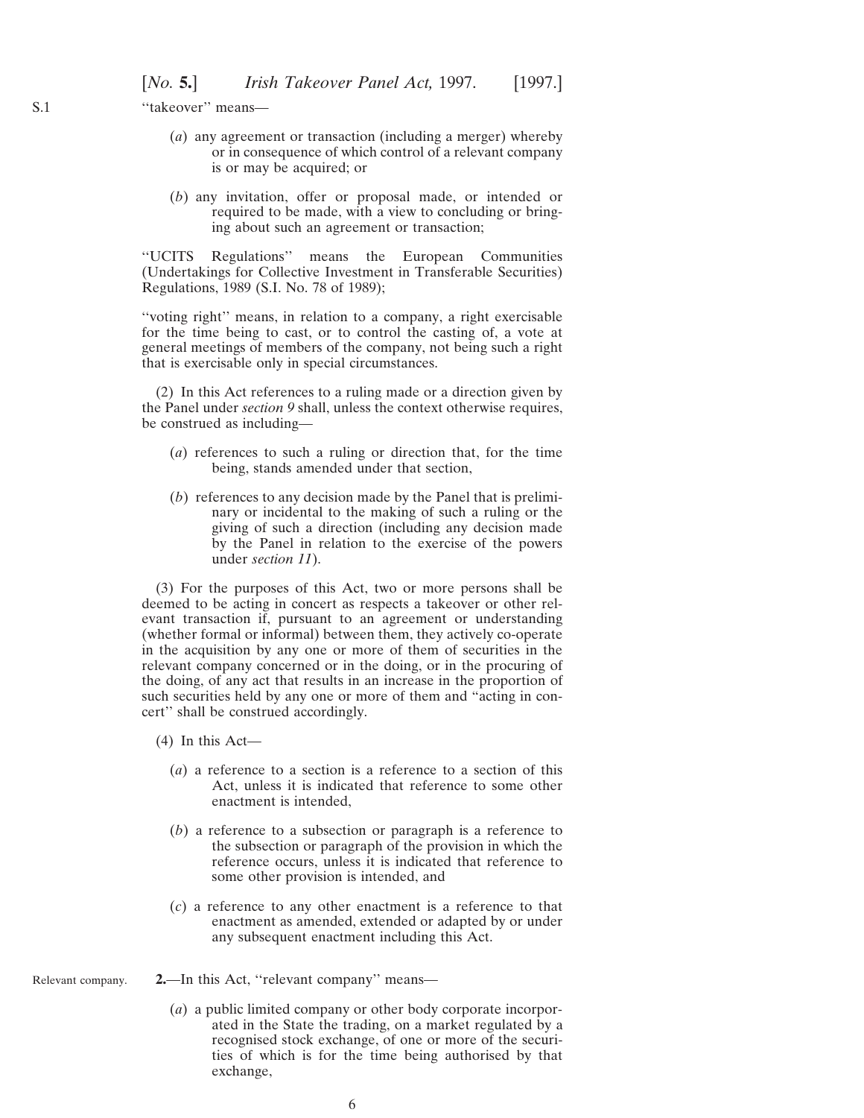<span id="page-5-0"></span>''takeover'' means—

- (*a*) any agreement or transaction (including a merger) whereby or in consequence of which control of a relevant company is or may be acquired; or
- (*b*) any invitation, offer or proposal made, or intended or required to be made, with a view to concluding or bringing about such an agreement or transaction;

''UCITS Regulations'' means the European Communities (Undertakings for Collective Investment in Transferable Securities) Regulations, 1989 (S.I. No. 78 of 1989);

''voting right'' means, in relation to a company, a right exercisable for the time being to cast, or to control the casting of, a vote at general meetings of members of the company, not being such a right that is exercisable only in special circumstances.

(2) In this Act references to a ruling made or a direction given by the Panel under *section 9* shall, unless the context otherwise requires, be construed as including—

- (*a*) references to such a ruling or direction that, for the time being, stands amended under that section,
- (*b*) references to any decision made by the Panel that is preliminary or incidental to the making of such a ruling or the giving of such a direction (including any decision made by the Panel in relation to the exercise of the powers under *section 11*).

(3) For the purposes of this Act, two or more persons shall be deemed to be acting in concert as respects a takeover or other relevant transaction if, pursuant to an agreement or understanding (whether formal or informal) between them, they actively co-operate in the acquisition by any one or more of them of securities in the relevant company concerned or in the doing, or in the procuring of the doing, of any act that results in an increase in the proportion of such securities held by any one or more of them and "acting in concert'' shall be construed accordingly.

- (4) In this Act—
	- (*a*) a reference to a section is a reference to a section of this Act, unless it is indicated that reference to some other enactment is intended,
	- (*b*) a reference to a subsection or paragraph is a reference to the subsection or paragraph of the provision in which the reference occurs, unless it is indicated that reference to some other provision is intended, and
	- (*c*) a reference to any other enactment is a reference to that enactment as amended, extended or adapted by or under any subsequent enactment including this Act.
- Relevant company. **2.**—In this Act, ''relevant company'' means—
	- (*a*) a public limited company or other body corporate incorporated in the State the trading, on a market regulated by a recognised stock exchange, of one or more of the securities of which is for the time being authorised by that exchange,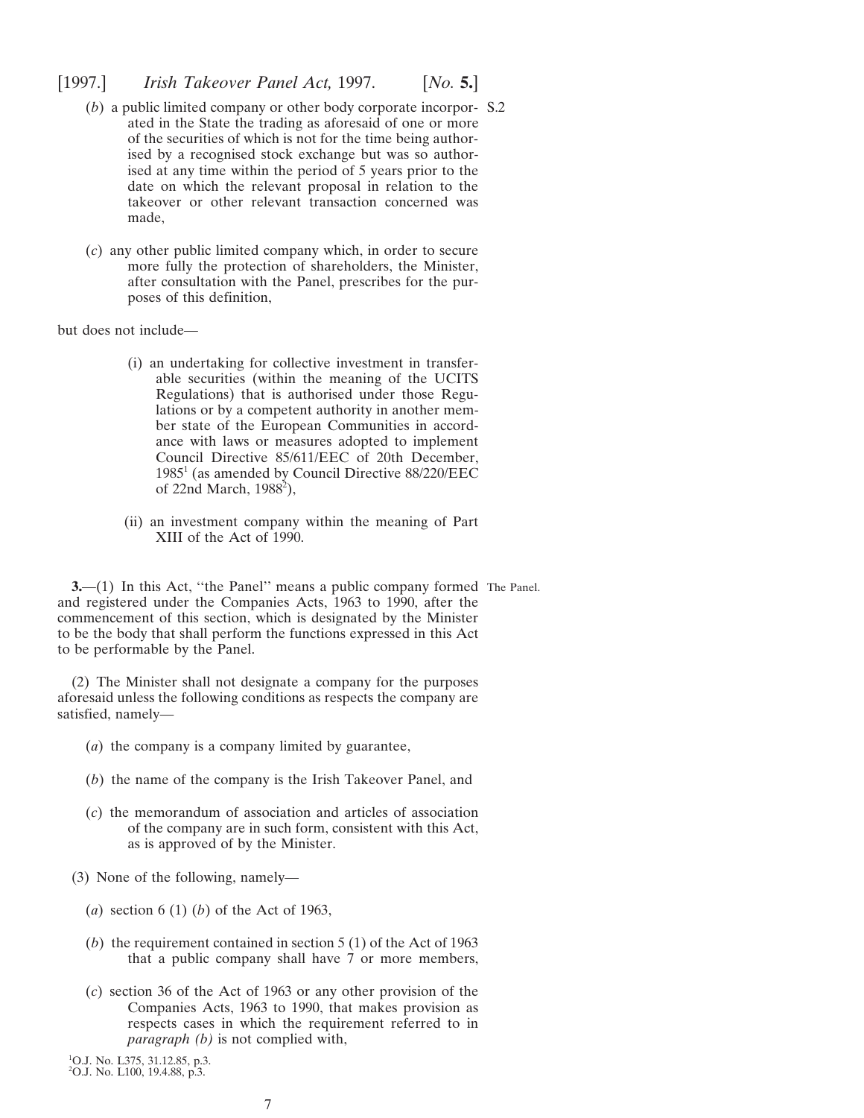- <span id="page-6-0"></span>(*b*) a public limited company or other body corporate incorpor-S.2 ated in the State the trading as aforesaid of one or more of the securities of which is not for the time being authorised by a recognised stock exchange but was so authorised at any time within the period of 5 years prior to the date on which the relevant proposal in relation to the takeover or other relevant transaction concerned was made,
- (*c*) any other public limited company which, in order to secure more fully the protection of shareholders, the Minister, after consultation with the Panel, prescribes for the purposes of this definition,

but does not include—

- (i) an undertaking for collective investment in transferable securities (within the meaning of the UCITS Regulations) that is authorised under those Regulations or by a competent authority in another member state of the European Communities in accordance with laws or measures adopted to implement Council Directive 85/611/EEC of 20th December, 19851 (as amended by Council Directive 88/220/EEC of 22nd March, 1988<sup>2</sup>),
- (ii) an investment company within the meaning of Part XIII of the Act of 1990.

**3.**—(1) In this Act, "the Panel" means a public company formed The Panel. and registered under the Companies Acts, 1963 to 1990, after the commencement of this section, which is designated by the Minister to be the body that shall perform the functions expressed in this Act to be performable by the Panel.

(2) The Minister shall not designate a company for the purposes aforesaid unless the following conditions as respects the company are satisfied, namely—

- (*a*) the company is a company limited by guarantee,
- (*b*) the name of the company is the Irish Takeover Panel, and
- (*c*) the memorandum of association and articles of association of the company are in such form, consistent with this Act, as is approved of by the Minister.
- (3) None of the following, namely—
	- (*a*) section 6 (1) (*b*) of the Act of 1963,
	- (*b*) the requirement contained in section 5 (1) of the Act of 1963 that a public company shall have 7 or more members,
	- (*c*) section 36 of the Act of 1963 or any other provision of the Companies Acts, 1963 to 1990, that makes provision as respects cases in which the requirement referred to in *paragraph (b)* is not complied with,

1 O.J. No. L375, 31.12.85, p.3. 2 O.J. No. L100, 19.4.88, p.3.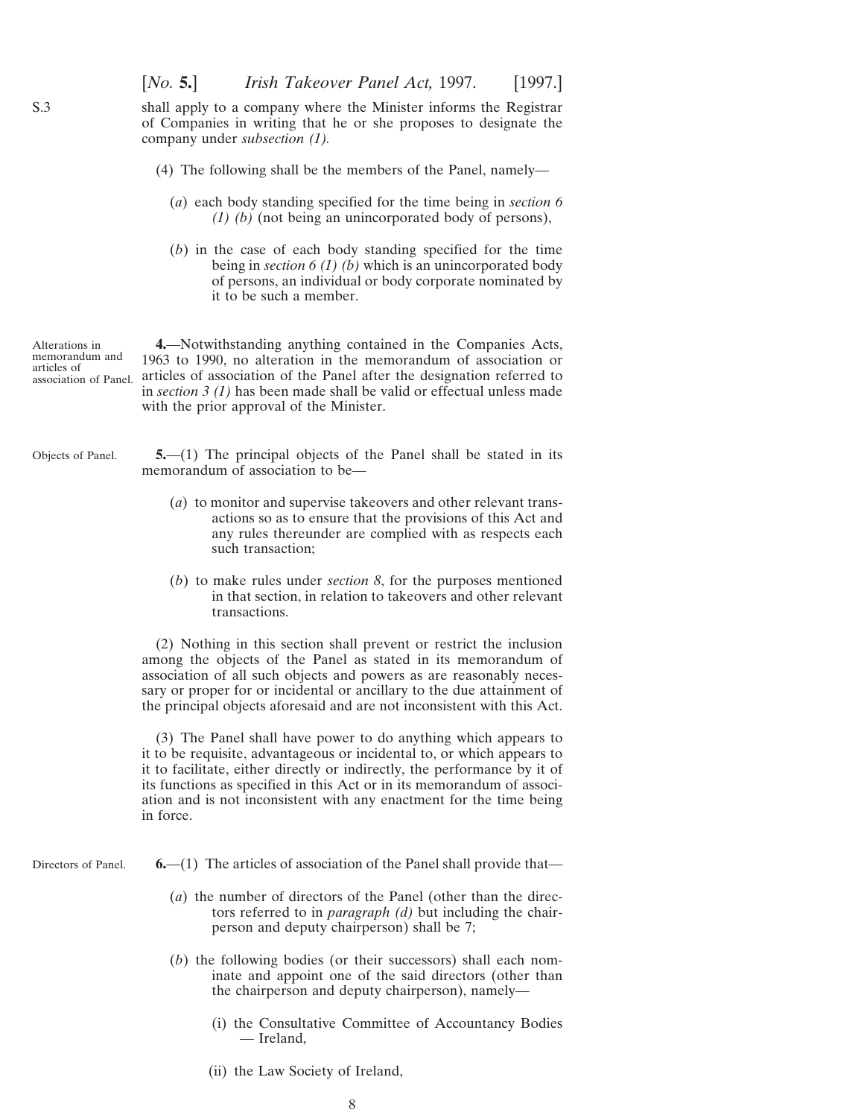shall apply to a company where the Minister informs the Registrar of Companies in writing that he or she proposes to designate the company under *subsection (1).*

- (4) The following shall be the members of the Panel, namely—
	- (*a*) each body standing specified for the time being in *section 6 (1) (b)* (not being an unincorporated body of persons),
	- (*b*) in the case of each body standing specified for the time being in *section 6 (1) (b)* which is an unincorporated body of persons, an individual or body corporate nominated by it to be such a member.

Alterations in memorandum and articles of association of Panel. articles of association of the Panel after the designation referred to **4.**—Notwithstanding anything contained in the Companies Acts, 1963 to 1990, no alteration in the memorandum of association or in *section 3 (1)* has been made shall be valid or effectual unless made with the prior approval of the Minister.

- Objects of Panel. **5.**—(1) The principal objects of the Panel shall be stated in its memorandum of association to be—
	- (*a*) to monitor and supervise takeovers and other relevant transactions so as to ensure that the provisions of this Act and any rules thereunder are complied with as respects each such transaction;
	- (*b*) to make rules under *section 8*, for the purposes mentioned in that section, in relation to takeovers and other relevant transactions.

(2) Nothing in this section shall prevent or restrict the inclusion among the objects of the Panel as stated in its memorandum of association of all such objects and powers as are reasonably necessary or proper for or incidental or ancillary to the due attainment of the principal objects aforesaid and are not inconsistent with this Act.

(3) The Panel shall have power to do anything which appears to it to be requisite, advantageous or incidental to, or which appears to it to facilitate, either directly or indirectly, the performance by it of its functions as specified in this Act or in its memorandum of association and is not inconsistent with any enactment for the time being in force.

Directors of Panel.

<span id="page-7-0"></span>S.3

**6.**—(1) The articles of association of the Panel shall provide that—

- (*a*) the number of directors of the Panel (other than the directors referred to in *paragraph (d)* but including the chairperson and deputy chairperson) shall be 7;
- (*b*) the following bodies (or their successors) shall each nominate and appoint one of the said directors (other than the chairperson and deputy chairperson), namely—
	- (i) the Consultative Committee of Accountancy Bodies — Ireland,
	- (ii) the Law Society of Ireland,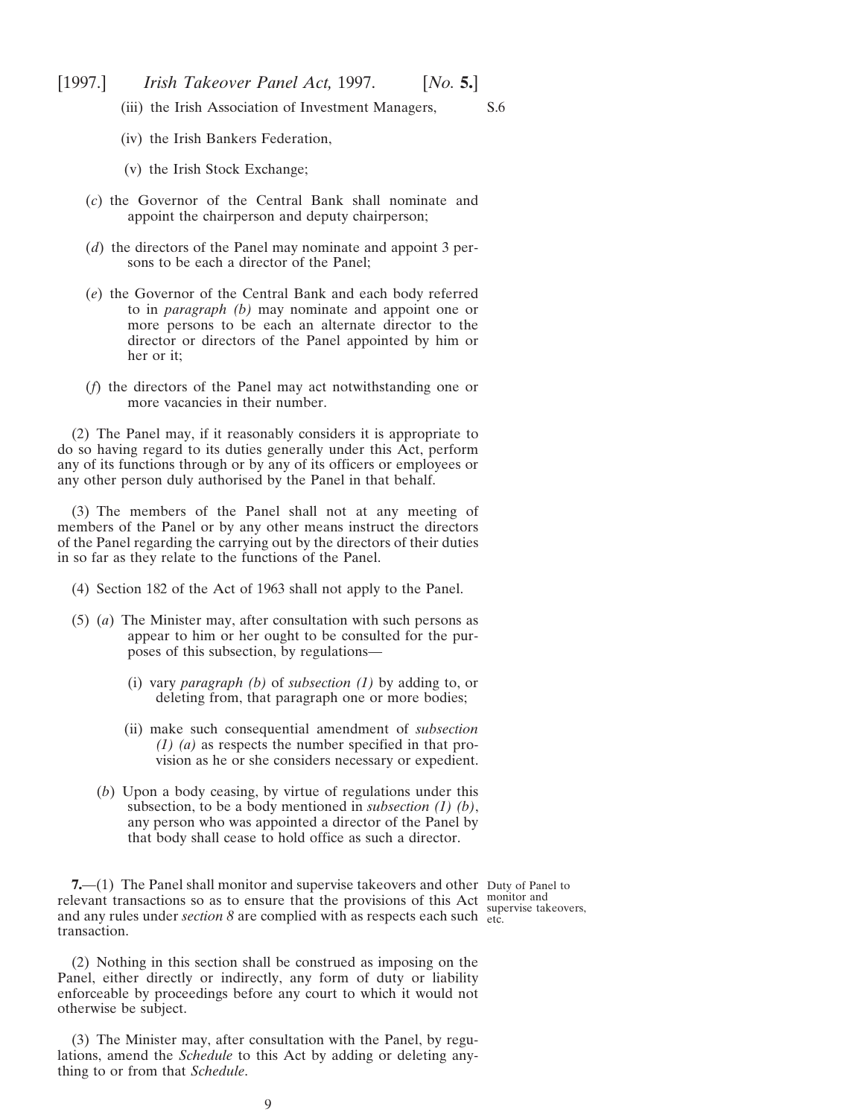<span id="page-8-0"></span>(iii) the Irish Association of Investment Managers,

S.6

- (iv) the Irish Bankers Federation,
- (v) the Irish Stock Exchange;
- (*c*) the Governor of the Central Bank shall nominate and appoint the chairperson and deputy chairperson;
- (*d*) the directors of the Panel may nominate and appoint 3 persons to be each a director of the Panel;
- (*e*) the Governor of the Central Bank and each body referred to in *paragraph (b)* may nominate and appoint one or more persons to be each an alternate director to the director or directors of the Panel appointed by him or her or it;
- (*f*) the directors of the Panel may act notwithstanding one or more vacancies in their number.

(2) The Panel may, if it reasonably considers it is appropriate to do so having regard to its duties generally under this Act, perform any of its functions through or by any of its officers or employees or any other person duly authorised by the Panel in that behalf.

(3) The members of the Panel shall not at any meeting of members of the Panel or by any other means instruct the directors of the Panel regarding the carrying out by the directors of their duties in so far as they relate to the functions of the Panel.

- (4) Section 182 of the Act of 1963 shall not apply to the Panel.
- (5) (*a*) The Minister may, after consultation with such persons as appear to him or her ought to be consulted for the purposes of this subsection, by regulations—
	- (i) vary *paragraph (b)* of *subsection (1)* by adding to, or deleting from, that paragraph one or more bodies;
	- (ii) make such consequential amendment of *subsection (1) (a)* as respects the number specified in that provision as he or she considers necessary or expedient.
	- (*b*) Upon a body ceasing, by virtue of regulations under this subsection, to be a body mentioned in *subsection (1) (b)*, any person who was appointed a director of the Panel by that body shall cease to hold office as such a director.

**7.**—(1) The Panel shall monitor and supervise takeovers and other Duty of Panel to relevant transactions so as to ensure that the provisions of this Act monitor and<br>and any miles under section 8 are complied with as generate each such supervise takeovers, and any rules under *section*  $\delta$  are complied with as respects each such  $\frac{dP}{dt}$ transaction.

(2) Nothing in this section shall be construed as imposing on the Panel, either directly or indirectly, any form of duty or liability enforceable by proceedings before any court to which it would not otherwise be subject.

(3) The Minister may, after consultation with the Panel, by regulations, amend the *Schedule* to this Act by adding or deleting anything to or from that *Schedule*.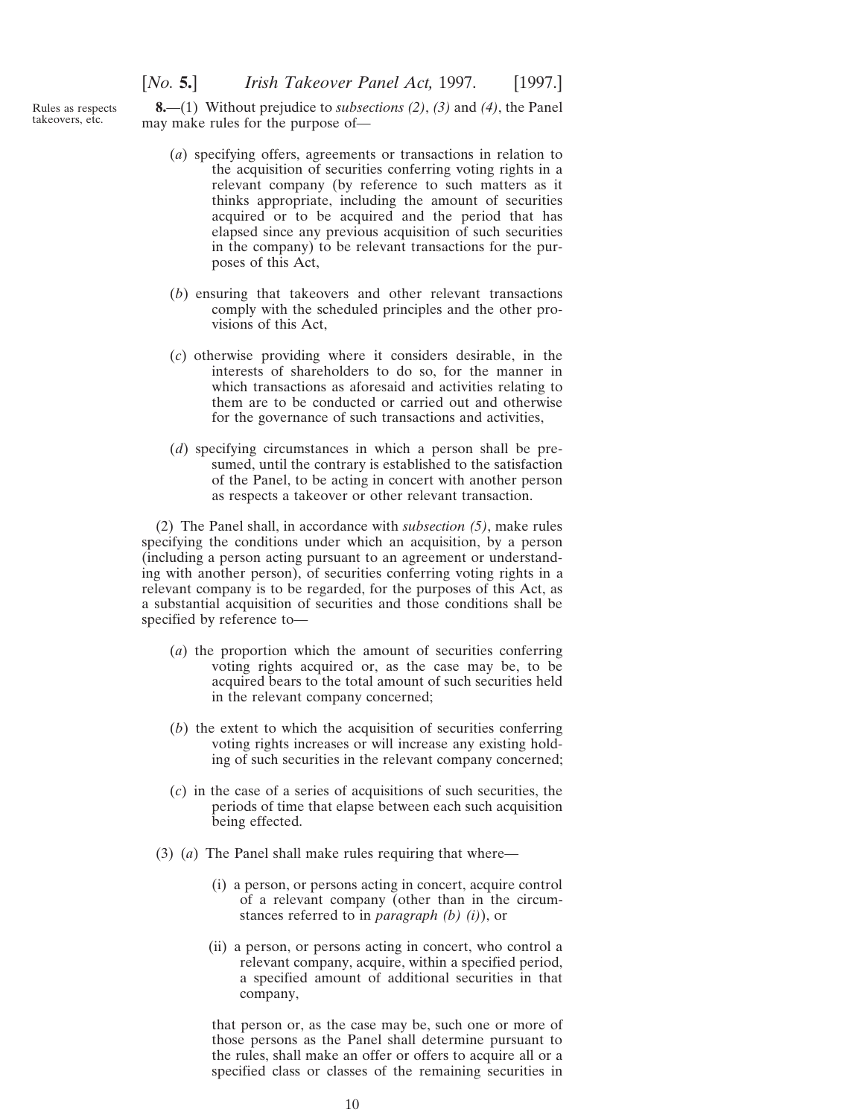<span id="page-9-0"></span>Rules as respects takeovers, etc.

**8.**—(1) Without prejudice to *subsections (2)*, *(3)* and *(4)*, the Panel may make rules for the purpose of—

- (*a*) specifying offers, agreements or transactions in relation to the acquisition of securities conferring voting rights in a relevant company (by reference to such matters as it thinks appropriate, including the amount of securities acquired or to be acquired and the period that has elapsed since any previous acquisition of such securities in the company) to be relevant transactions for the purposes of this Act,
- (*b*) ensuring that takeovers and other relevant transactions comply with the scheduled principles and the other provisions of this Act,
- (*c*) otherwise providing where it considers desirable, in the interests of shareholders to do so, for the manner in which transactions as aforesaid and activities relating to them are to be conducted or carried out and otherwise for the governance of such transactions and activities,
- (*d*) specifying circumstances in which a person shall be presumed, until the contrary is established to the satisfaction of the Panel, to be acting in concert with another person as respects a takeover or other relevant transaction.

(2) The Panel shall, in accordance with *subsection (5)*, make rules specifying the conditions under which an acquisition, by a person (including a person acting pursuant to an agreement or understanding with another person), of securities conferring voting rights in a relevant company is to be regarded, for the purposes of this Act, as a substantial acquisition of securities and those conditions shall be specified by reference to—

- (*a*) the proportion which the amount of securities conferring voting rights acquired or, as the case may be, to be acquired bears to the total amount of such securities held in the relevant company concerned;
- (*b*) the extent to which the acquisition of securities conferring voting rights increases or will increase any existing holding of such securities in the relevant company concerned;
- (*c*) in the case of a series of acquisitions of such securities, the periods of time that elapse between each such acquisition being effected.
- (3) (*a*) The Panel shall make rules requiring that where—
	- (i) a person, or persons acting in concert, acquire control of a relevant company (other than in the circumstances referred to in *paragraph (b) (i)*), or
	- (ii) a person, or persons acting in concert, who control a relevant company, acquire, within a specified period, a specified amount of additional securities in that company,

that person or, as the case may be, such one or more of those persons as the Panel shall determine pursuant to the rules, shall make an offer or offers to acquire all or a specified class or classes of the remaining securities in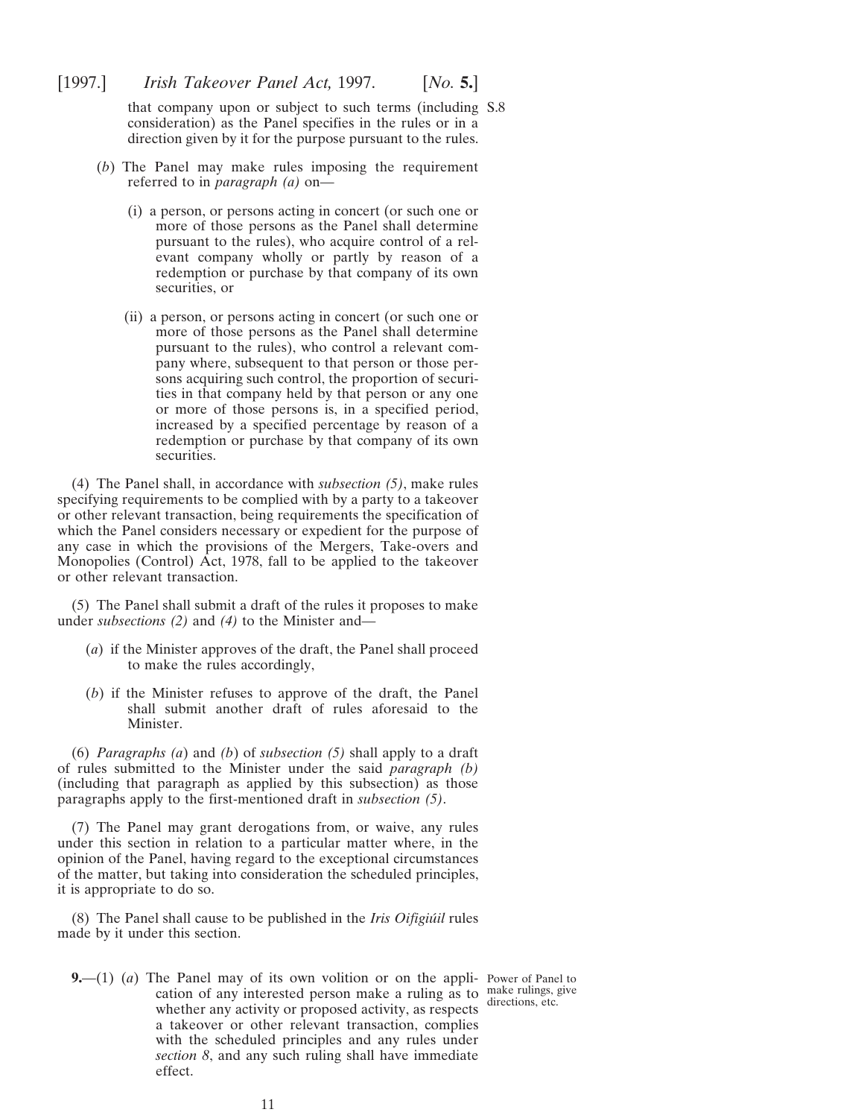<span id="page-10-0"></span>that company upon or subject to such terms (including S.8 consideration) as the Panel specifies in the rules or in a direction given by it for the purpose pursuant to the rules.

- (*b*) The Panel may make rules imposing the requirement referred to in *paragraph (a)* on—
	- (i) a person, or persons acting in concert (or such one or more of those persons as the Panel shall determine pursuant to the rules), who acquire control of a relevant company wholly or partly by reason of a redemption or purchase by that company of its own securities, or
	- (ii) a person, or persons acting in concert (or such one or more of those persons as the Panel shall determine pursuant to the rules), who control a relevant company where, subsequent to that person or those persons acquiring such control, the proportion of securities in that company held by that person or any one or more of those persons is, in a specified period, increased by a specified percentage by reason of a redemption or purchase by that company of its own securities.

(4) The Panel shall, in accordance with *subsection (5)*, make rules specifying requirements to be complied with by a party to a takeover or other relevant transaction, being requirements the specification of which the Panel considers necessary or expedient for the purpose of any case in which the provisions of the Mergers, Take-overs and Monopolies (Control) Act, 1978, fall to be applied to the takeover or other relevant transaction.

(5) The Panel shall submit a draft of the rules it proposes to make under *subsections (2)* and *(4)* to the Minister and—

- (*a*) if the Minister approves of the draft, the Panel shall proceed to make the rules accordingly,
- (*b*) if the Minister refuses to approve of the draft, the Panel shall submit another draft of rules aforesaid to the Minister.

(6) *Paragraphs (a*) and *(b*) of *subsection (5)* shall apply to a draft of rules submitted to the Minister under the said *paragraph (b)* (including that paragraph as applied by this subsection) as those paragraphs apply to the first-mentioned draft in *subsection (5)*.

(7) The Panel may grant derogations from, or waive, any rules under this section in relation to a particular matter where, in the opinion of the Panel, having regard to the exceptional circumstances of the matter, but taking into consideration the scheduled principles, it is appropriate to do so.

(8) The Panel shall cause to be published in the *Iris Oifigiu´il* rules made by it under this section.

**9.**—(1) (*a*) The Panel may of its own volition or on the appli-Power of Panel to cation of any interested person make a ruling as to make rulings, give whether any activity or proposed activity, as respects a takeover or other relevant transaction, complies with the scheduled principles and any rules under *section 8*, and any such ruling shall have immediate effect.

directions, etc.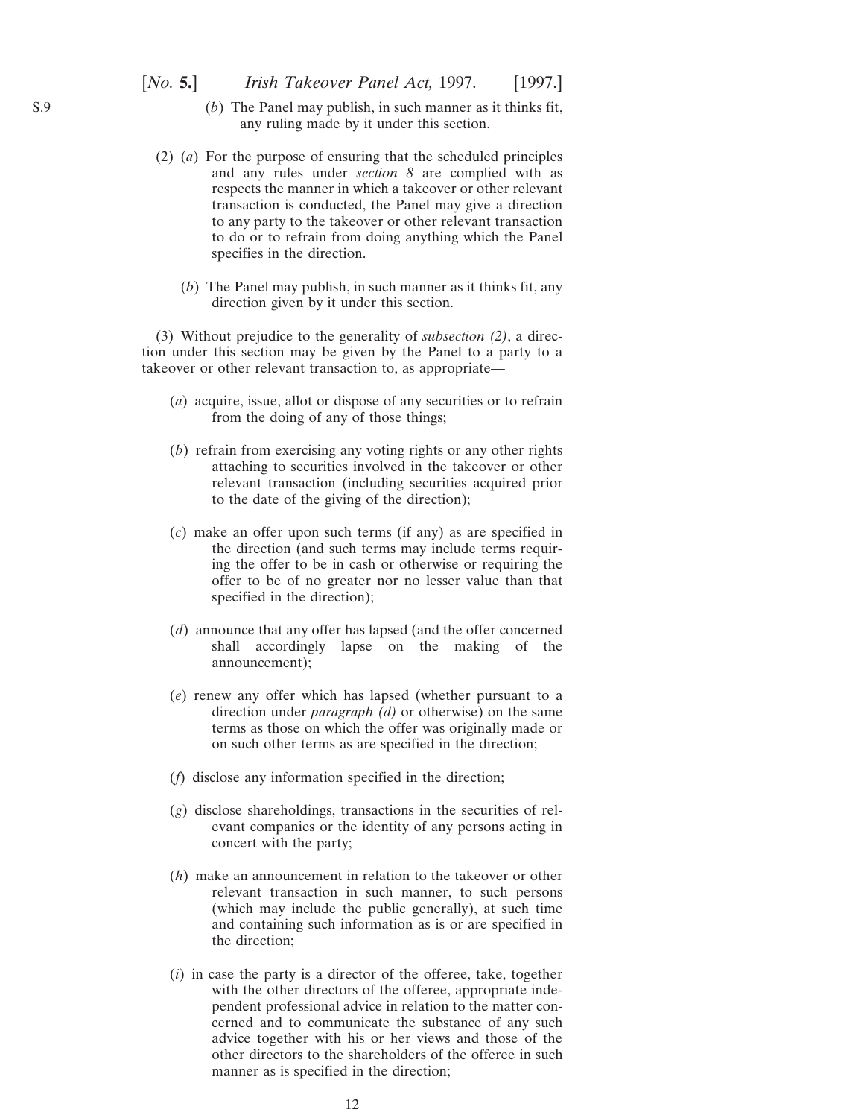- (*b*) The Panel may publish, in such manner as it thinks fit, any ruling made by it under this section.
- (2) (*a*) For the purpose of ensuring that the scheduled principles and any rules under *section 8* are complied with as respects the manner in which a takeover or other relevant transaction is conducted, the Panel may give a direction to any party to the takeover or other relevant transaction to do or to refrain from doing anything which the Panel specifies in the direction.
	- (*b*) The Panel may publish, in such manner as it thinks fit, any direction given by it under this section.

(3) Without prejudice to the generality of *subsection (2)*, a direction under this section may be given by the Panel to a party to a takeover or other relevant transaction to, as appropriate—

- (*a*) acquire, issue, allot or dispose of any securities or to refrain from the doing of any of those things;
- (*b*) refrain from exercising any voting rights or any other rights attaching to securities involved in the takeover or other relevant transaction (including securities acquired prior to the date of the giving of the direction);
- (*c*) make an offer upon such terms (if any) as are specified in the direction (and such terms may include terms requiring the offer to be in cash or otherwise or requiring the offer to be of no greater nor no lesser value than that specified in the direction);
- (*d*) announce that any offer has lapsed (and the offer concerned shall accordingly lapse on the making of the announcement);
- (*e*) renew any offer which has lapsed (whether pursuant to a direction under *paragraph (d)* or otherwise) on the same terms as those on which the offer was originally made or on such other terms as are specified in the direction;
- (*f*) disclose any information specified in the direction;
- (*g*) disclose shareholdings, transactions in the securities of relevant companies or the identity of any persons acting in concert with the party;
- (*h*) make an announcement in relation to the takeover or other relevant transaction in such manner, to such persons (which may include the public generally), at such time and containing such information as is or are specified in the direction;
- (*i*) in case the party is a director of the offeree, take, together with the other directors of the offeree, appropriate independent professional advice in relation to the matter concerned and to communicate the substance of any such advice together with his or her views and those of the other directors to the shareholders of the offeree in such manner as is specified in the direction;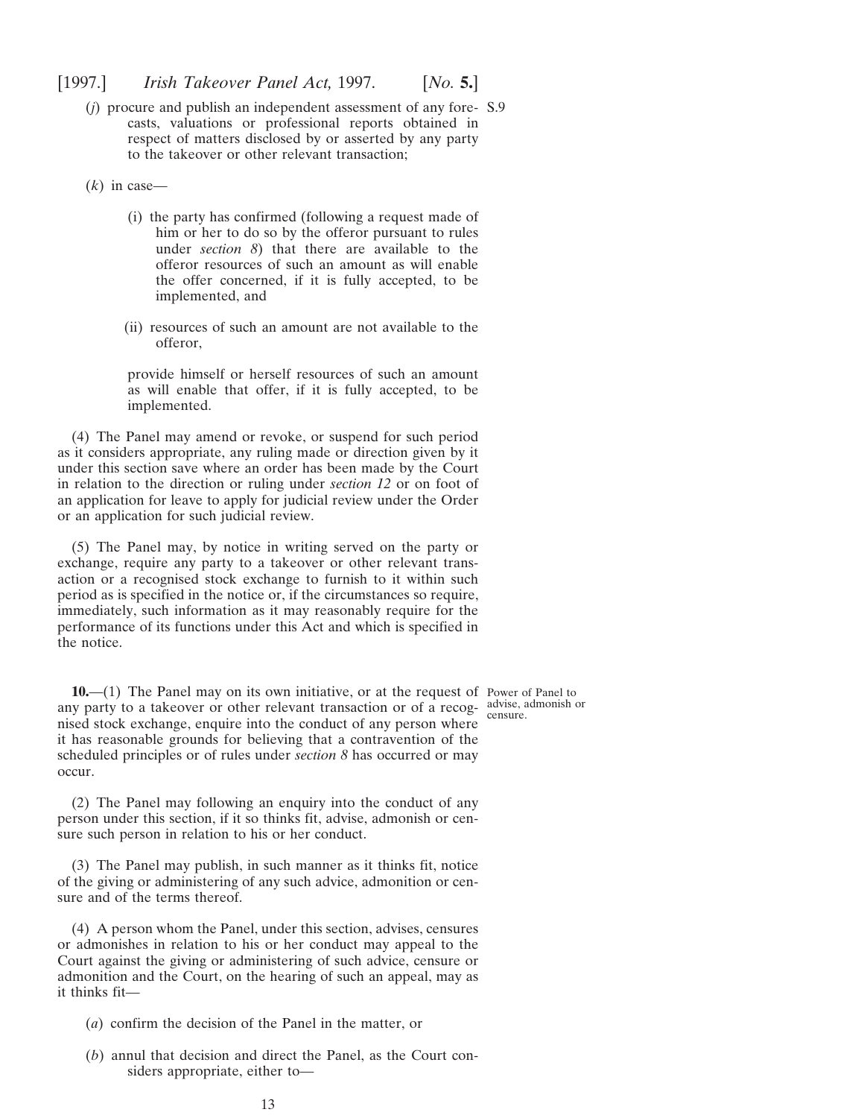<span id="page-12-0"></span>(*j*) procure and publish an independent assessment of any fore-S.9 casts, valuations or professional reports obtained in respect of matters disclosed by or asserted by any party to the takeover or other relevant transaction;

(*k*) in case—

- (i) the party has confirmed (following a request made of him or her to do so by the offeror pursuant to rules under *section 8*) that there are available to the offeror resources of such an amount as will enable the offer concerned, if it is fully accepted, to be implemented, and
- (ii) resources of such an amount are not available to the offeror,

provide himself or herself resources of such an amount as will enable that offer, if it is fully accepted, to be implemented.

(4) The Panel may amend or revoke, or suspend for such period as it considers appropriate, any ruling made or direction given by it under this section save where an order has been made by the Court in relation to the direction or ruling under *section 12* or on foot of an application for leave to apply for judicial review under the Order or an application for such judicial review.

(5) The Panel may, by notice in writing served on the party or exchange, require any party to a takeover or other relevant transaction or a recognised stock exchange to furnish to it within such period as is specified in the notice or, if the circumstances so require, immediately, such information as it may reasonably require for the performance of its functions under this Act and which is specified in the notice.

**10.**—(1) The Panel may on its own initiative, or at the request of Power of Panel to any party to a takeover or other relevant transaction or of a recog-advise, admonish or censure.nised stock exchange, enquire into the conduct of any person where it has reasonable grounds for believing that a contravention of the scheduled principles or of rules under *section 8* has occurred or may occur.

(2) The Panel may following an enquiry into the conduct of any person under this section, if it so thinks fit, advise, admonish or censure such person in relation to his or her conduct.

(3) The Panel may publish, in such manner as it thinks fit, notice of the giving or administering of any such advice, admonition or censure and of the terms thereof.

(4) A person whom the Panel, under this section, advises, censures or admonishes in relation to his or her conduct may appeal to the Court against the giving or administering of such advice, censure or admonition and the Court, on the hearing of such an appeal, may as it thinks fit—

- (*a*) confirm the decision of the Panel in the matter, or
- (*b*) annul that decision and direct the Panel, as the Court considers appropriate, either to—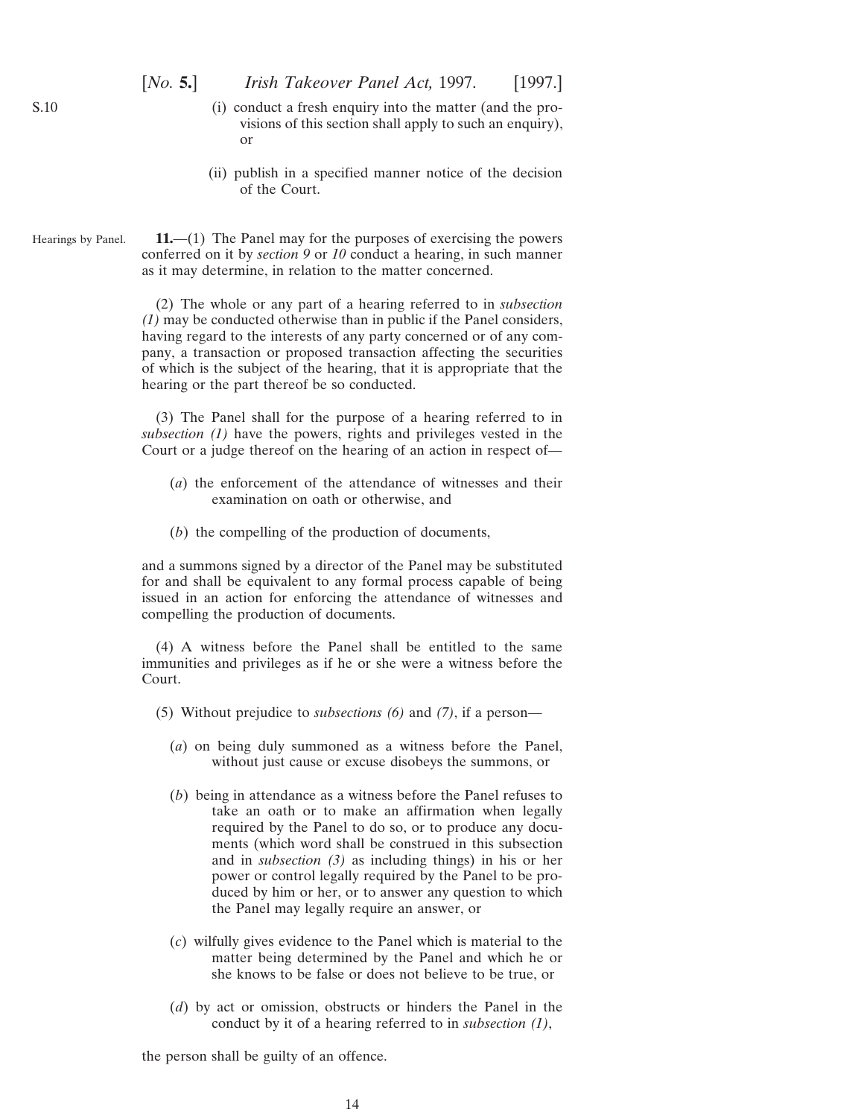- <span id="page-13-0"></span>(i) conduct a fresh enquiry into the matter (and the provisions of this section shall apply to such an enquiry), or
- (ii) publish in a specified manner notice of the decision of the Court.

Hearings by Panel. **11.**—(1) The Panel may for the purposes of exercising the powers conferred on it by *section 9* or *10* conduct a hearing, in such manner as it may determine, in relation to the matter concerned.

> (2) The whole or any part of a hearing referred to in *subsection (1)* may be conducted otherwise than in public if the Panel considers, having regard to the interests of any party concerned or of any company, a transaction or proposed transaction affecting the securities of which is the subject of the hearing, that it is appropriate that the hearing or the part thereof be so conducted.

> (3) The Panel shall for the purpose of a hearing referred to in *subsection (1)* have the powers, rights and privileges vested in the Court or a judge thereof on the hearing of an action in respect of—

- (*a*) the enforcement of the attendance of witnesses and their examination on oath or otherwise, and
- (*b*) the compelling of the production of documents,

and a summons signed by a director of the Panel may be substituted for and shall be equivalent to any formal process capable of being issued in an action for enforcing the attendance of witnesses and compelling the production of documents.

(4) A witness before the Panel shall be entitled to the same immunities and privileges as if he or she were a witness before the Court.

- (5) Without prejudice to *subsections (6)* and *(7)*, if a person—
	- (*a*) on being duly summoned as a witness before the Panel, without just cause or excuse disobeys the summons, or
	- (*b*) being in attendance as a witness before the Panel refuses to take an oath or to make an affirmation when legally required by the Panel to do so, or to produce any documents (which word shall be construed in this subsection and in *subsection (3)* as including things) in his or her power or control legally required by the Panel to be produced by him or her, or to answer any question to which the Panel may legally require an answer, or
	- (*c*) wilfully gives evidence to the Panel which is material to the matter being determined by the Panel and which he or she knows to be false or does not believe to be true, or
	- (*d*) by act or omission, obstructs or hinders the Panel in the conduct by it of a hearing referred to in *subsection (1)*,

the person shall be guilty of an offence.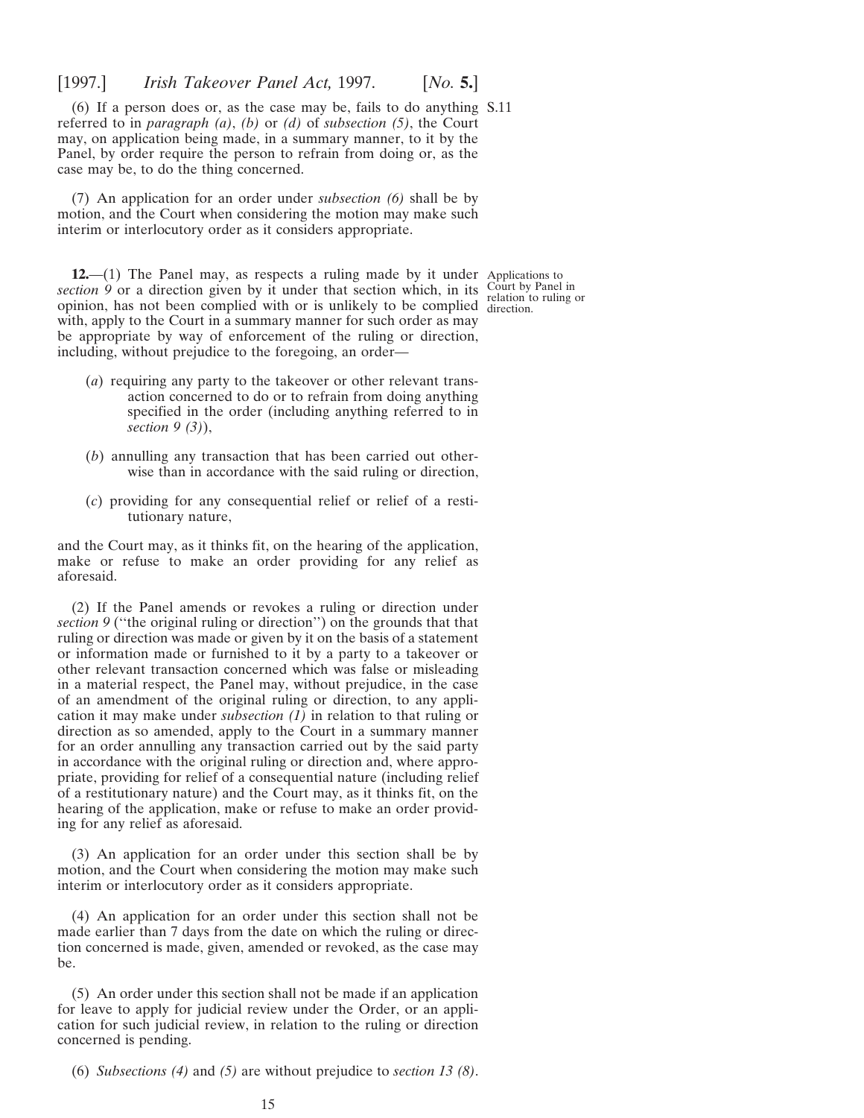<span id="page-14-0"></span>(6) If a person does or, as the case may be, fails to do anything S.11 referred to in *paragraph (a)*, *(b)* or *(d)* of *subsection (5)*, the Court may, on application being made, in a summary manner, to it by the Panel, by order require the person to refrain from doing or, as the case may be, to do the thing concerned.

(7) An application for an order under *subsection (6)* shall be by motion, and the Court when considering the motion may make such interim or interlocutory order as it considers appropriate.

**12.**—(1) The Panel may, as respects a ruling made by it under Applications to *section* 9 or a direction given by it under that section which, in its  $\frac{\text{Count by Panel in}}{\text{relation to ruling}}$ opinion, has not been complied with or is unlikely to be complied direction. with, apply to the Court in a summary manner for such order as may be appropriate by way of enforcement of the ruling or direction, including, without prejudice to the foregoing, an order—

- (*a*) requiring any party to the takeover or other relevant transaction concerned to do or to refrain from doing anything specified in the order (including anything referred to in *section 9 (3)*),
- (*b*) annulling any transaction that has been carried out otherwise than in accordance with the said ruling or direction,
- (*c*) providing for any consequential relief or relief of a restitutionary nature,

and the Court may, as it thinks fit, on the hearing of the application, make or refuse to make an order providing for any relief as aforesaid.

(2) If the Panel amends or revokes a ruling or direction under *section 9* (''the original ruling or direction'') on the grounds that that ruling or direction was made or given by it on the basis of a statement or information made or furnished to it by a party to a takeover or other relevant transaction concerned which was false or misleading in a material respect, the Panel may, without prejudice, in the case of an amendment of the original ruling or direction, to any application it may make under *subsection (1)* in relation to that ruling or direction as so amended, apply to the Court in a summary manner for an order annulling any transaction carried out by the said party in accordance with the original ruling or direction and, where appropriate, providing for relief of a consequential nature (including relief of a restitutionary nature) and the Court may, as it thinks fit, on the hearing of the application, make or refuse to make an order providing for any relief as aforesaid.

(3) An application for an order under this section shall be by motion, and the Court when considering the motion may make such interim or interlocutory order as it considers appropriate.

(4) An application for an order under this section shall not be made earlier than 7 days from the date on which the ruling or direction concerned is made, given, amended or revoked, as the case may be.

(5) An order under this section shall not be made if an application for leave to apply for judicial review under the Order, or an application for such judicial review, in relation to the ruling or direction concerned is pending.

(6) *Subsections (4)* and *(5)* are without prejudice to *section 13 (8)*.

relation to ruling or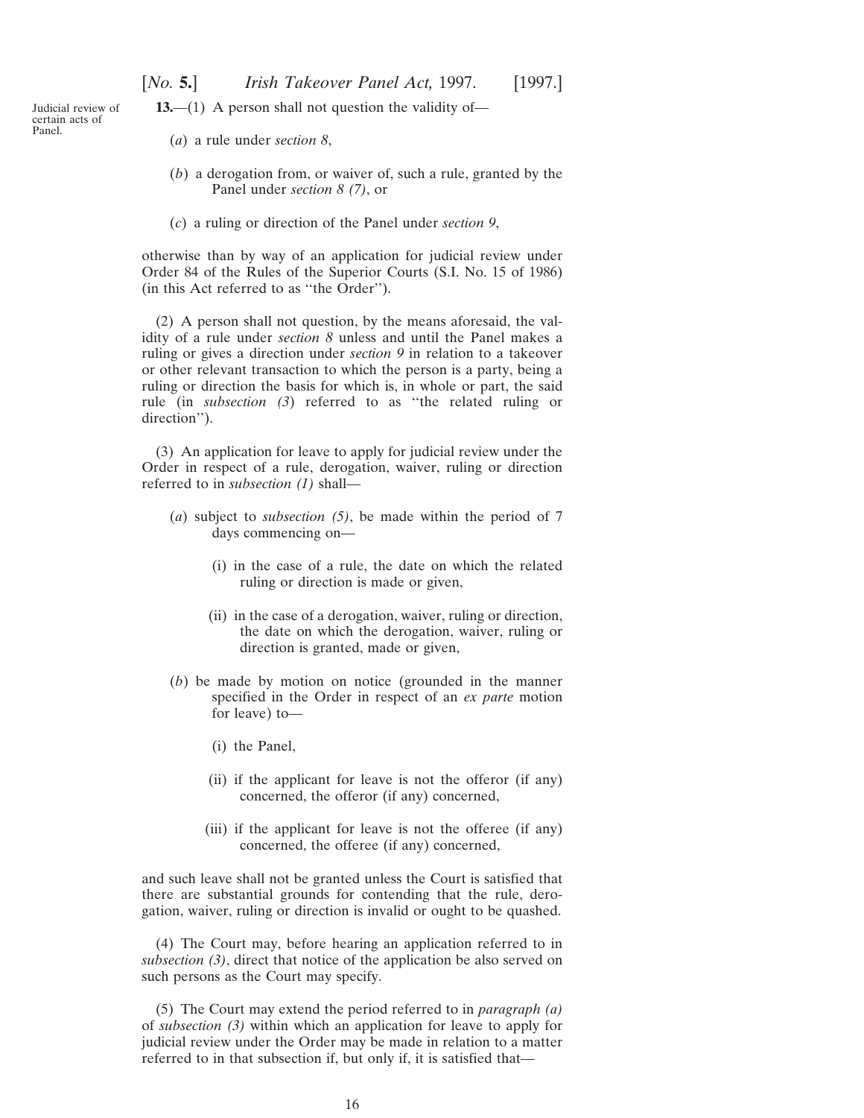**13.**—(1) A person shall not question the validity of—

<span id="page-15-0"></span>Judicial review of certain acts of Panel.

- (*a*) a rule under *section 8*,
- (*b*) a derogation from, or waiver of, such a rule, granted by the Panel under *section 8 (7)*, or
- (*c*) a ruling or direction of the Panel under *section 9*,

otherwise than by way of an application for judicial review under Order 84 of the Rules of the Superior Courts (S.I. No. 15 of 1986) (in this Act referred to as ''the Order'').

(2) A person shall not question, by the means aforesaid, the validity of a rule under *section 8* unless and until the Panel makes a ruling or gives a direction under *section 9* in relation to a takeover or other relevant transaction to which the person is a party, being a ruling or direction the basis for which is, in whole or part, the said rule (in *subsection (3*) referred to as ''the related ruling or direction'').

(3) An application for leave to apply for judicial review under the Order in respect of a rule, derogation, waiver, ruling or direction referred to in *subsection (1)* shall—

- (*a*) subject to *subsection (5)*, be made within the period of 7 days commencing on—
	- (i) in the case of a rule, the date on which the related ruling or direction is made or given,
	- (ii) in the case of a derogation, waiver, ruling or direction, the date on which the derogation, waiver, ruling or direction is granted, made or given,
- (*b*) be made by motion on notice (grounded in the manner specified in the Order in respect of an *ex parte* motion for leave) to—
	- (i) the Panel,
	- (ii) if the applicant for leave is not the offeror (if any) concerned, the offeror (if any) concerned,
	- (iii) if the applicant for leave is not the offeree (if any) concerned, the offeree (if any) concerned,

and such leave shall not be granted unless the Court is satisfied that there are substantial grounds for contending that the rule, derogation, waiver, ruling or direction is invalid or ought to be quashed.

(4) The Court may, before hearing an application referred to in *subsection (3)*, direct that notice of the application be also served on such persons as the Court may specify.

(5) The Court may extend the period referred to in *paragraph (a)* of *subsection (3)* within which an application for leave to apply for judicial review under the Order may be made in relation to a matter referred to in that subsection if, but only if, it is satisfied that—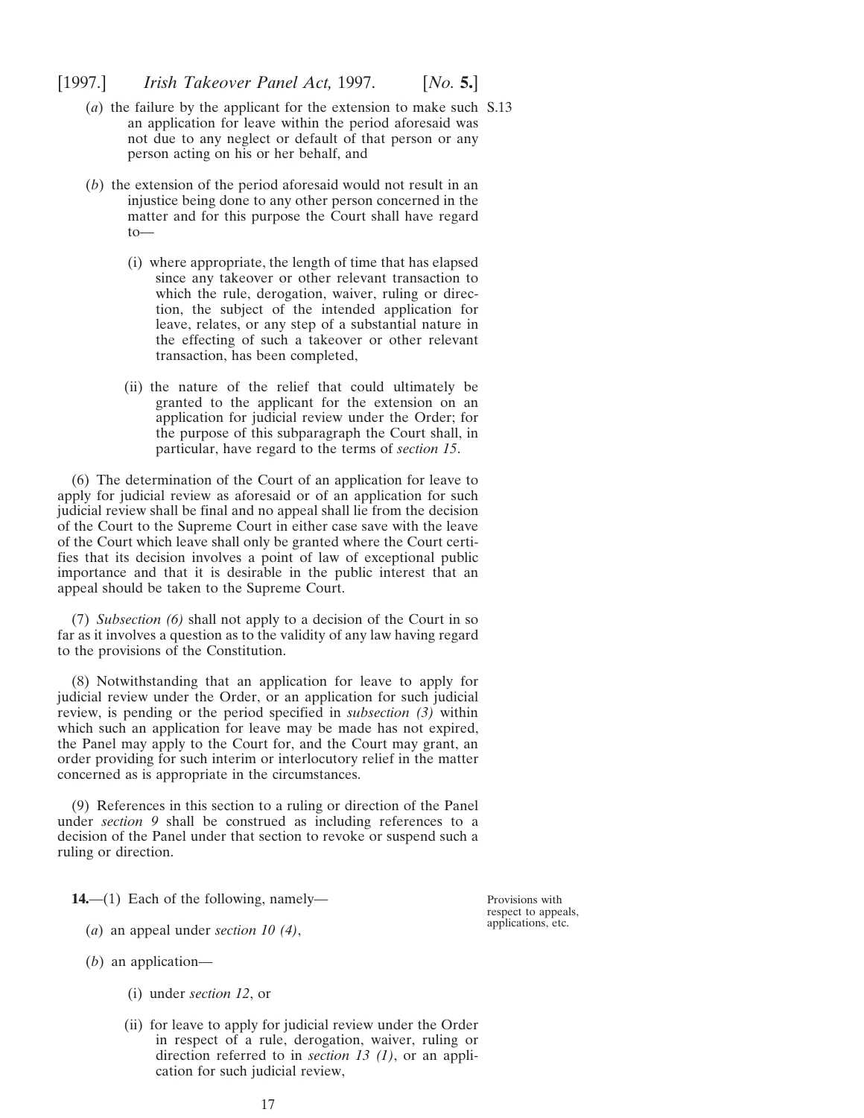- <span id="page-16-0"></span>(*a*) the failure by the applicant for the extension to make such S.13 an application for leave within the period aforesaid was not due to any neglect or default of that person or any person acting on his or her behalf, and
- (*b*) the extension of the period aforesaid would not result in an injustice being done to any other person concerned in the matter and for this purpose the Court shall have regard to—
	- (i) where appropriate, the length of time that has elapsed since any takeover or other relevant transaction to which the rule, derogation, waiver, ruling or direction, the subject of the intended application for leave, relates, or any step of a substantial nature in the effecting of such a takeover or other relevant transaction, has been completed,
	- (ii) the nature of the relief that could ultimately be granted to the applicant for the extension on an application for judicial review under the Order; for the purpose of this subparagraph the Court shall, in particular, have regard to the terms of *section 15*.

(6) The determination of the Court of an application for leave to apply for judicial review as aforesaid or of an application for such judicial review shall be final and no appeal shall lie from the decision of the Court to the Supreme Court in either case save with the leave of the Court which leave shall only be granted where the Court certifies that its decision involves a point of law of exceptional public importance and that it is desirable in the public interest that an appeal should be taken to the Supreme Court.

(7) *Subsection (6)* shall not apply to a decision of the Court in so far as it involves a question as to the validity of any law having regard to the provisions of the Constitution.

(8) Notwithstanding that an application for leave to apply for judicial review under the Order, or an application for such judicial review, is pending or the period specified in *subsection (3)* within which such an application for leave may be made has not expired, the Panel may apply to the Court for, and the Court may grant, an order providing for such interim or interlocutory relief in the matter concerned as is appropriate in the circumstances.

(9) References in this section to a ruling or direction of the Panel under *section 9* shall be construed as including references to a decision of the Panel under that section to revoke or suspend such a ruling or direction.

**14.**—(1) Each of the following, namely—

- (*a*) an appeal under *section 10 (4)*,
- (*b*) an application—
	- (i) under *section 12*, or
	- (ii) for leave to apply for judicial review under the Order in respect of a rule, derogation, waiver, ruling or direction referred to in *section 13 (1)*, or an application for such judicial review,

Provisions with respect to appeals, applications, etc.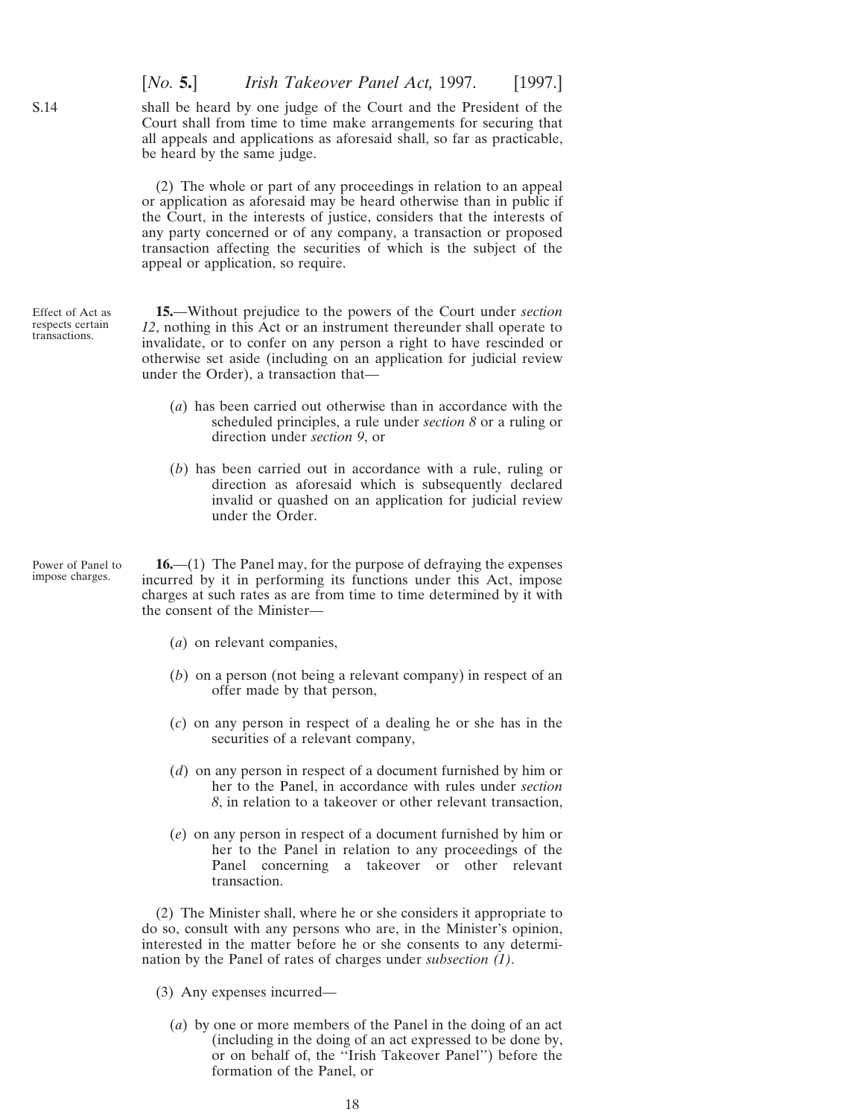[*No.* **5.**] *Irish Takeover Panel Act,* 1997. [1997.] shall be heard by one judge of the Court and the President of the Court shall from time to time make arrangements for securing that all appeals and applications as aforesaid shall, so far as practicable, be heard by the same judge.

(2) The whole or part of any proceedings in relation to an appeal or application as aforesaid may be heard otherwise than in public if the Court, in the interests of justice, considers that the interests of any party concerned or of any company, a transaction or proposed transaction affecting the securities of which is the subject of the appeal or application, so require.

Effect of Act as respects certain transactions. **15.**—Without prejudice to the powers of the Court under *section 12*, nothing in this Act or an instrument thereunder shall operate to invalidate, or to confer on any person a right to have rescinded or otherwise set aside (including on an application for judicial review under the Order), a transaction that—

- (*a*) has been carried out otherwise than in accordance with the scheduled principles, a rule under *section 8* or a ruling or direction under *section 9*, or
- (*b*) has been carried out in accordance with a rule, ruling or direction as aforesaid which is subsequently declared invalid or quashed on an application for judicial review under the Order.

Power of Panel to impose charges.

<span id="page-17-0"></span>S.14

**16.**—(1) The Panel may, for the purpose of defraying the expenses incurred by it in performing its functions under this Act, impose charges at such rates as are from time to time determined by it with the consent of the Minister—

- (*a*) on relevant companies,
- (*b*) on a person (not being a relevant company) in respect of an offer made by that person,
- (*c*) on any person in respect of a dealing he or she has in the securities of a relevant company,
- (*d*) on any person in respect of a document furnished by him or her to the Panel, in accordance with rules under *section 8*, in relation to a takeover or other relevant transaction,
- (*e*) on any person in respect of a document furnished by him or her to the Panel in relation to any proceedings of the Panel concerning a takeover or other relevant transaction.

(2) The Minister shall, where he or she considers it appropriate to do so, consult with any persons who are, in the Minister's opinion, interested in the matter before he or she consents to any determination by the Panel of rates of charges under *subsection (1)*.

(3) Any expenses incurred—

(*a*) by one or more members of the Panel in the doing of an act (including in the doing of an act expressed to be done by, or on behalf of, the ''Irish Takeover Panel'') before the formation of the Panel, or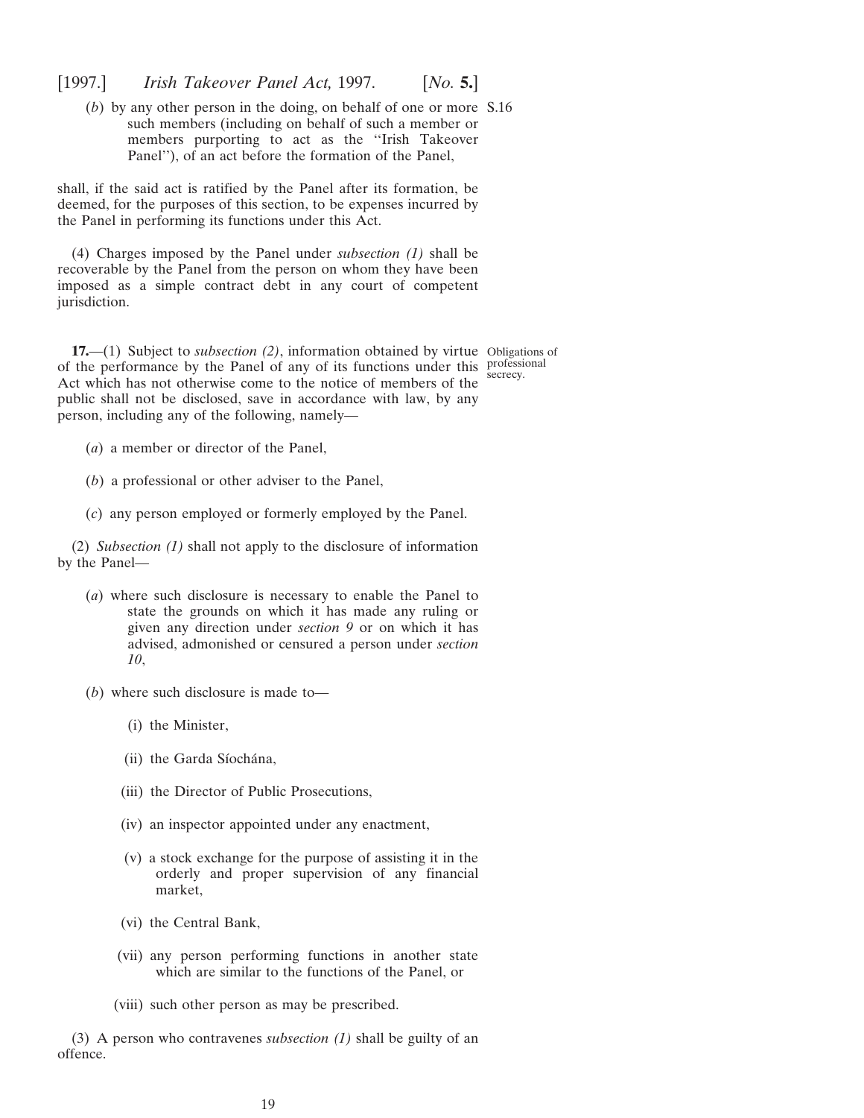<span id="page-18-0"></span>(*b*) by any other person in the doing, on behalf of one or more S.16 such members (including on behalf of such a member or members purporting to act as the ''Irish Takeover Panel''), of an act before the formation of the Panel,

shall, if the said act is ratified by the Panel after its formation, be deemed, for the purposes of this section, to be expenses incurred by the Panel in performing its functions under this Act.

(4) Charges imposed by the Panel under *subsection (1)* shall be recoverable by the Panel from the person on whom they have been imposed as a simple contract debt in any court of competent jurisdiction.

**17.**—(1) Subject to *subsection* (2), information obtained by virtue Obligations of of the performance by the Panel of any of its functions under this professional Act which has not otherwise come to the notice of members of the public shall not be disclosed, save in accordance with law, by any person, including any of the following, namely—

secrecy.

- (*a*) a member or director of the Panel,
- (*b*) a professional or other adviser to the Panel,
- (*c*) any person employed or formerly employed by the Panel.

(2) *Subsection (1)* shall not apply to the disclosure of information by the Panel—

- (*a*) where such disclosure is necessary to enable the Panel to state the grounds on which it has made any ruling or given any direction under *section 9* or on which it has advised, admonished or censured a person under *section 10*,
- (*b*) where such disclosure is made to—
	- (i) the Minister,
	- (ii) the Garda Síochána,
	- (iii) the Director of Public Prosecutions,
	- (iv) an inspector appointed under any enactment,
	- (v) a stock exchange for the purpose of assisting it in the orderly and proper supervision of any financial market,
	- (vi) the Central Bank,
	- (vii) any person performing functions in another state which are similar to the functions of the Panel, or
	- (viii) such other person as may be prescribed.

(3) A person who contravenes *subsection (1)* shall be guilty of an offence.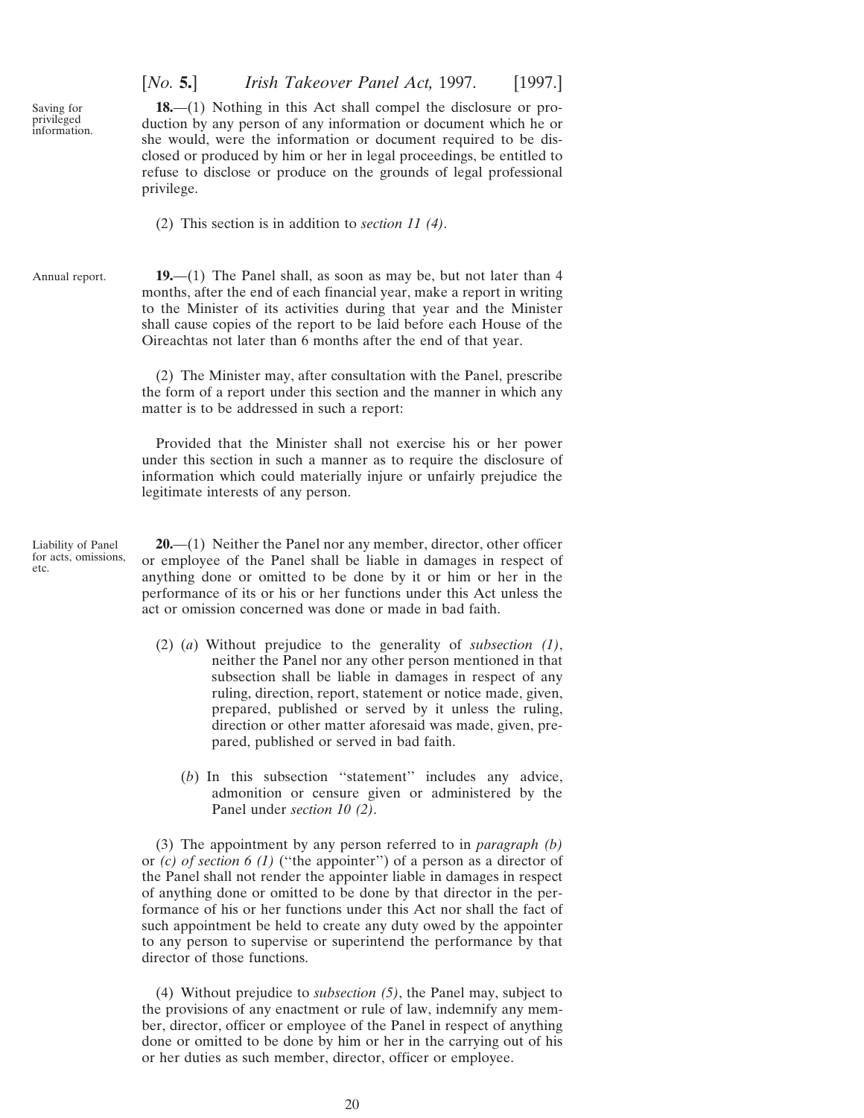<span id="page-19-0"></span>Saving for privileged information. [*No.* **5.**] *Irish Takeover Panel Act,* 1997. [1997.]

**18.**—(1) Nothing in this Act shall compel the disclosure or production by any person of any information or document which he or she would, were the information or document required to be disclosed or produced by him or her in legal proceedings, be entitled to refuse to disclose or produce on the grounds of legal professional privilege.

(2) This section is in addition to *section 11 (4)*.

Annual report. **19.**—(1) The Panel shall, as soon as may be, but not later than 4 months, after the end of each financial year, make a report in writing to the Minister of its activities during that year and the Minister shall cause copies of the report to be laid before each House of the Oireachtas not later than 6 months after the end of that year.

> (2) The Minister may, after consultation with the Panel, prescribe the form of a report under this section and the manner in which any matter is to be addressed in such a report:

> Provided that the Minister shall not exercise his or her power under this section in such a manner as to require the disclosure of information which could materially injure or unfairly prejudice the legitimate interests of any person.

Liability of Panel for acts, omissions etc.

**20.**—(1) Neither the Panel nor any member, director, other officer or employee of the Panel shall be liable in damages in respect of anything done or omitted to be done by it or him or her in the performance of its or his or her functions under this Act unless the act or omission concerned was done or made in bad faith.

- (2) (*a*) Without prejudice to the generality of *subsection (1)*, neither the Panel nor any other person mentioned in that subsection shall be liable in damages in respect of any ruling, direction, report, statement or notice made, given, prepared, published or served by it unless the ruling, direction or other matter aforesaid was made, given, prepared, published or served in bad faith.
	- (*b*) In this subsection ''statement'' includes any advice, admonition or censure given or administered by the Panel under *section 10 (2)*.

(3) The appointment by any person referred to in *paragraph (b)* or *(c) of section 6 (1)* (''the appointer'') of a person as a director of the Panel shall not render the appointer liable in damages in respect of anything done or omitted to be done by that director in the performance of his or her functions under this Act nor shall the fact of such appointment be held to create any duty owed by the appointer to any person to supervise or superintend the performance by that director of those functions.

(4) Without prejudice to *subsection (5)*, the Panel may, subject to the provisions of any enactment or rule of law, indemnify any member, director, officer or employee of the Panel in respect of anything done or omitted to be done by him or her in the carrying out of his or her duties as such member, director, officer or employee.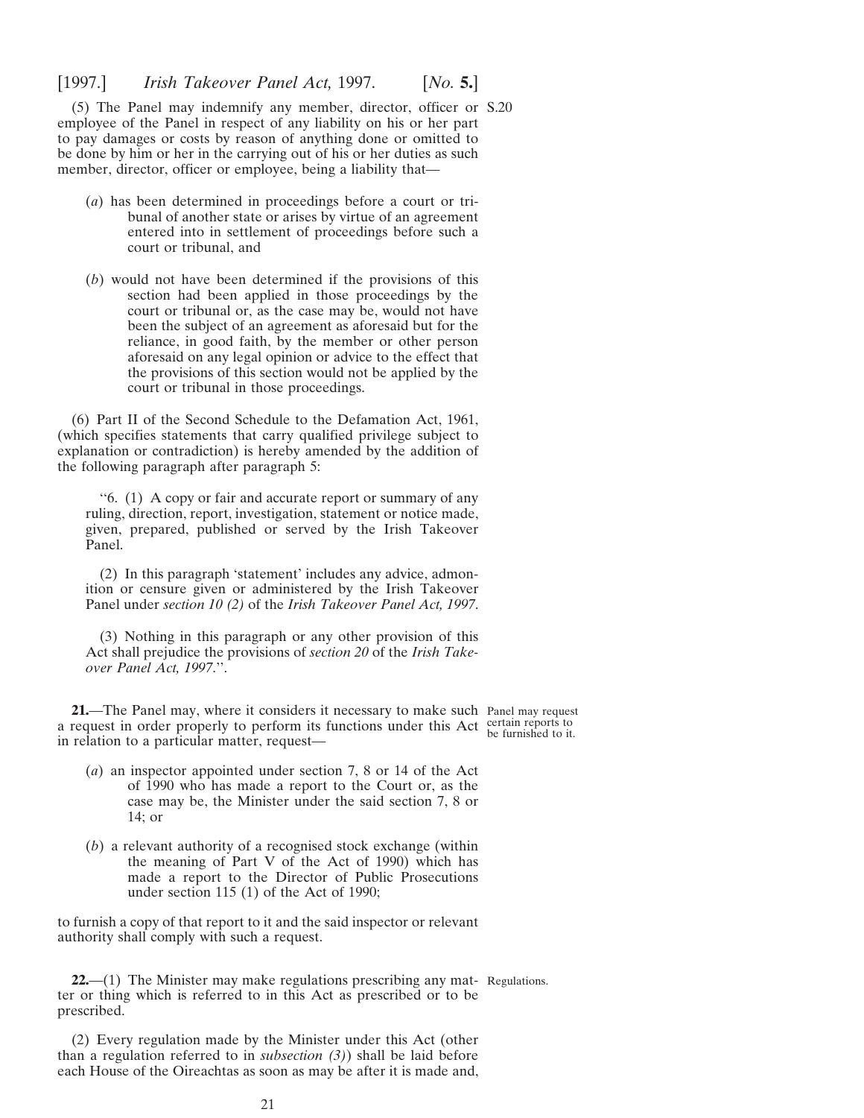<span id="page-20-0"></span>(5) The Panel may indemnify any member, director, officer or S.20 employee of the Panel in respect of any liability on his or her part to pay damages or costs by reason of anything done or omitted to be done by him or her in the carrying out of his or her duties as such member, director, officer or employee, being a liability that—

- (*a*) has been determined in proceedings before a court or tribunal of another state or arises by virtue of an agreement entered into in settlement of proceedings before such a court or tribunal, and
- (*b*) would not have been determined if the provisions of this section had been applied in those proceedings by the court or tribunal or, as the case may be, would not have been the subject of an agreement as aforesaid but for the reliance, in good faith, by the member or other person aforesaid on any legal opinion or advice to the effect that the provisions of this section would not be applied by the court or tribunal in those proceedings.

(6) Part II of the Second Schedule to the Defamation Act, 1961, (which specifies statements that carry qualified privilege subject to explanation or contradiction) is hereby amended by the addition of the following paragraph after paragraph 5:

''6. (1) A copy or fair and accurate report or summary of any ruling, direction, report, investigation, statement or notice made, given, prepared, published or served by the Irish Takeover Panel.

(2) In this paragraph 'statement' includes any advice, admonition or censure given or administered by the Irish Takeover Panel under *section 10 (2)* of the *Irish Takeover Panel Act, 1997*.

(3) Nothing in this paragraph or any other provision of this Act shall prejudice the provisions of *section 20* of the *Irish Takeover Panel Act, 1997*.''.

**21.**—The Panel may, where it considers it necessary to make such Panel may request a request in order properly to perform its functions under this Act certain reports to the furnished to it. in relation to a particular matter, request—

- 
- (*a*) an inspector appointed under section 7, 8 or 14 of the Act of 1990 who has made a report to the Court or, as the case may be, the Minister under the said section 7, 8 or 14; or
- (*b*) a relevant authority of a recognised stock exchange (within the meaning of Part V of the Act of 1990) which has made a report to the Director of Public Prosecutions under section 115 (1) of the Act of 1990;

to furnish a copy of that report to it and the said inspector or relevant authority shall comply with such a request.

**22.**—(1) The Minister may make regulations prescribing any mat-Regulations.ter or thing which is referred to in this Act as prescribed or to be prescribed.

(2) Every regulation made by the Minister under this Act (other than a regulation referred to in *subsection (3)*) shall be laid before each House of the Oireachtas as soon as may be after it is made and,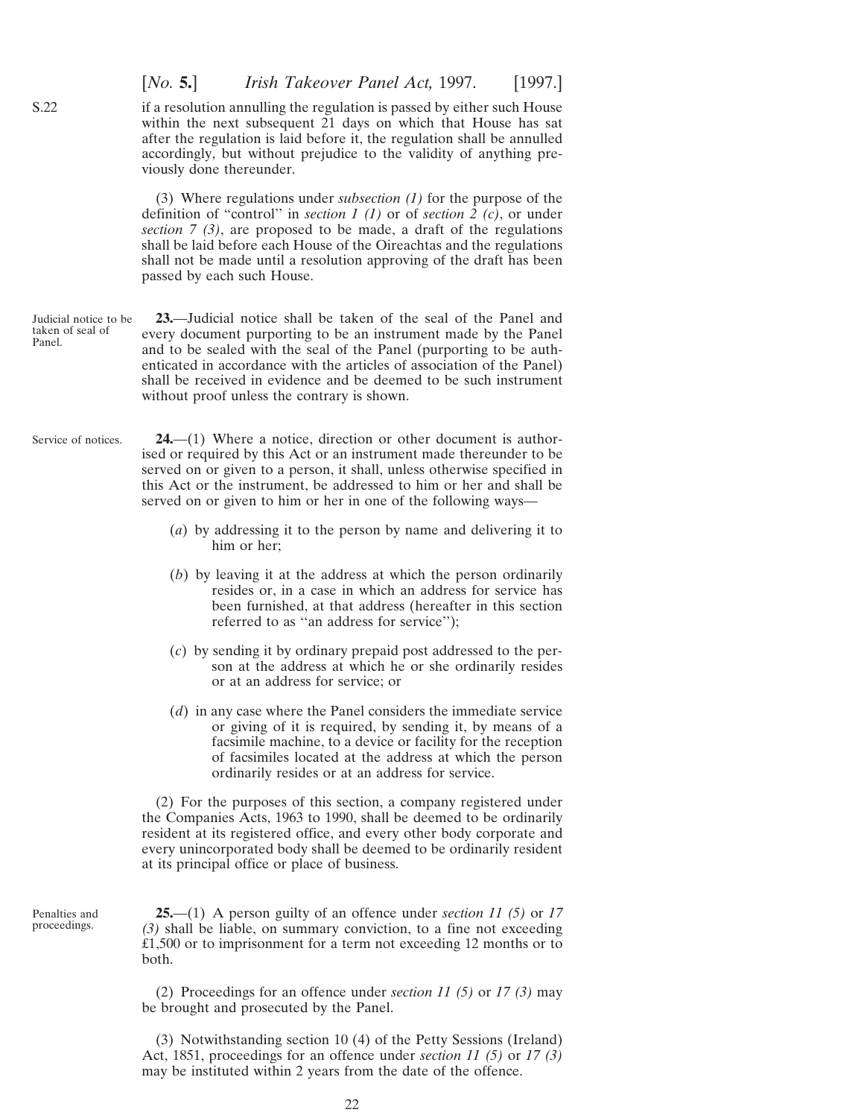if a resolution annulling the regulation is passed by either such House within the next subsequent 21 days on which that House has sat after the regulation is laid before it, the regulation shall be annulled accordingly, but without prejudice to the validity of anything previously done thereunder.

[*No.* **5.**] *Irish Takeover Panel Act,* 1997. [1997.]

(3) Where regulations under *subsection (1)* for the purpose of the definition of "control'' in *section 1 (1)* or of *section 2 (c)*, or under *section 7 (3)*, are proposed to be made, a draft of the regulations shall be laid before each House of the Oireachtas and the regulations shall not be made until a resolution approving of the draft has been passed by each such House.

- Judicial notice to be taken of seal of Panel. **23.**—Judicial notice shall be taken of the seal of the Panel and every document purporting to be an instrument made by the Panel and to be sealed with the seal of the Panel (purporting to be authenticated in accordance with the articles of association of the Panel) shall be received in evidence and be deemed to be such instrument without proof unless the contrary is shown.
- Service of notices. **24.**—(1) Where a notice, direction or other document is authorised or required by this Act or an instrument made thereunder to be served on or given to a person, it shall, unless otherwise specified in this Act or the instrument, be addressed to him or her and shall be served on or given to him or her in one of the following ways—
	- (*a*) by addressing it to the person by name and delivering it to him or her;
	- (*b*) by leaving it at the address at which the person ordinarily resides or, in a case in which an address for service has been furnished, at that address (hereafter in this section referred to as ''an address for service'');
	- (*c*) by sending it by ordinary prepaid post addressed to the person at the address at which he or she ordinarily resides or at an address for service; or
	- (*d*) in any case where the Panel considers the immediate service or giving of it is required, by sending it, by means of a facsimile machine, to a device or facility for the reception of facsimiles located at the address at which the person ordinarily resides or at an address for service.

(2) For the purposes of this section, a company registered under the Companies Acts, 1963 to 1990, shall be deemed to be ordinarily resident at its registered office, and every other body corporate and every unincorporated body shall be deemed to be ordinarily resident at its principal office or place of business.

Penalties and proceedings.

**25.**—(1) A person guilty of an offence under *section 11 (5)* or *17 (3)* shall be liable, on summary conviction, to a fine not exceeding £1,500 or to imprisonment for a term not exceeding 12 months or to both.

(2) Proceedings for an offence under *section 11 (5)* or *17 (3)* may be brought and prosecuted by the Panel.

(3) Notwithstanding section 10 (4) of the Petty Sessions (Ireland) Act, 1851, proceedings for an offence under *section 11 (5)* or *17 (3)* may be instituted within 2 years from the date of the offence.

<span id="page-21-0"></span>S.22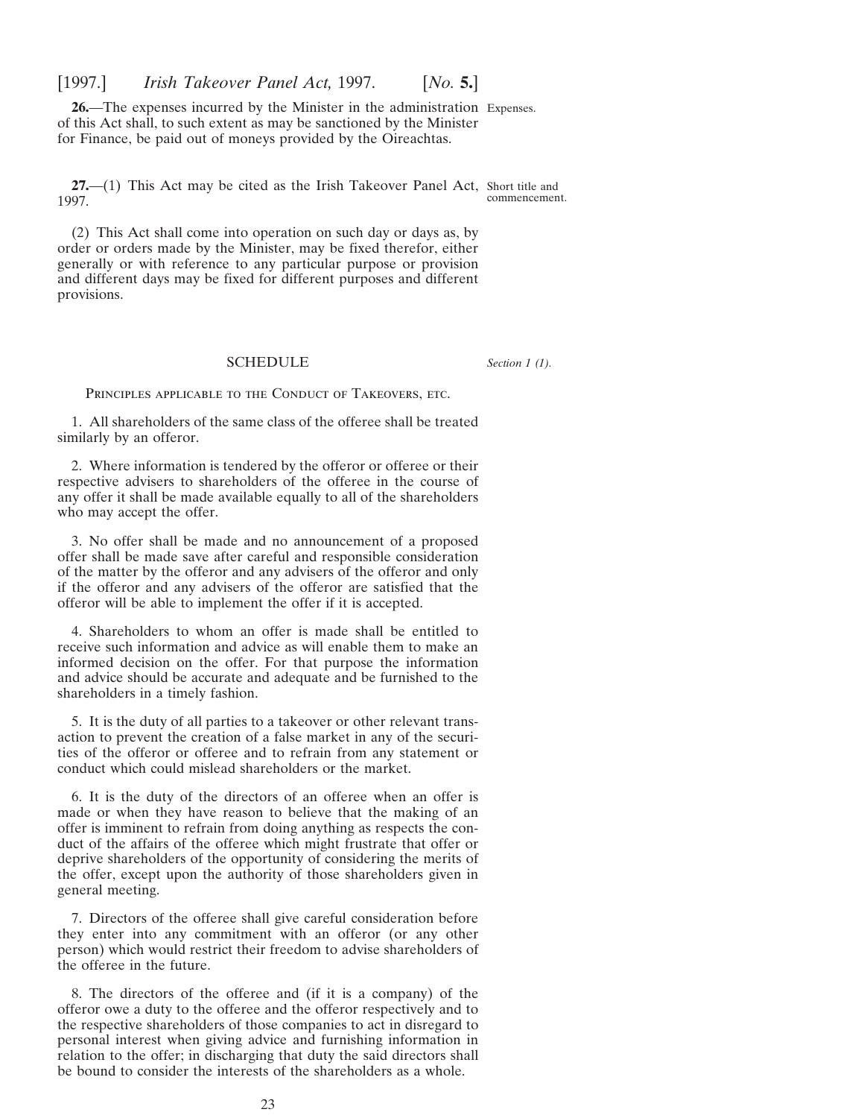<span id="page-22-0"></span>**26.**—The expenses incurred by the Minister in the administration Expenses. of this Act shall, to such extent as may be sanctioned by the Minister for Finance, be paid out of moneys provided by the Oireachtas.

**27.**—(1) This Act may be cited as the Irish Takeover Panel Act, Short title and 1997. commencement.

(2) This Act shall come into operation on such day or days as, by order or orders made by the Minister, may be fixed therefor, either generally or with reference to any particular purpose or provision and different days may be fixed for different purposes and different provisions.

#### SCHEDULE

*Section 1 (1).*

PRINCIPLES APPLICABLE TO THE CONDUCT OF TAKEOVERS, ETC.

1. All shareholders of the same class of the offeree shall be treated similarly by an offeror.

2. Where information is tendered by the offeror or offeree or their respective advisers to shareholders of the offeree in the course of any offer it shall be made available equally to all of the shareholders who may accept the offer.

3. No offer shall be made and no announcement of a proposed offer shall be made save after careful and responsible consideration of the matter by the offeror and any advisers of the offeror and only if the offeror and any advisers of the offeror are satisfied that the offeror will be able to implement the offer if it is accepted.

4. Shareholders to whom an offer is made shall be entitled to receive such information and advice as will enable them to make an informed decision on the offer. For that purpose the information and advice should be accurate and adequate and be furnished to the shareholders in a timely fashion.

5. It is the duty of all parties to a takeover or other relevant transaction to prevent the creation of a false market in any of the securities of the offeror or offeree and to refrain from any statement or conduct which could mislead shareholders or the market.

6. It is the duty of the directors of an offeree when an offer is made or when they have reason to believe that the making of an offer is imminent to refrain from doing anything as respects the conduct of the affairs of the offeree which might frustrate that offer or deprive shareholders of the opportunity of considering the merits of the offer, except upon the authority of those shareholders given in general meeting.

7. Directors of the offeree shall give careful consideration before they enter into any commitment with an offeror (or any other person) which would restrict their freedom to advise shareholders of the offeree in the future.

8. The directors of the offeree and (if it is a company) of the offeror owe a duty to the offeree and the offeror respectively and to the respective shareholders of those companies to act in disregard to personal interest when giving advice and furnishing information in relation to the offer; in discharging that duty the said directors shall be bound to consider the interests of the shareholders as a whole.